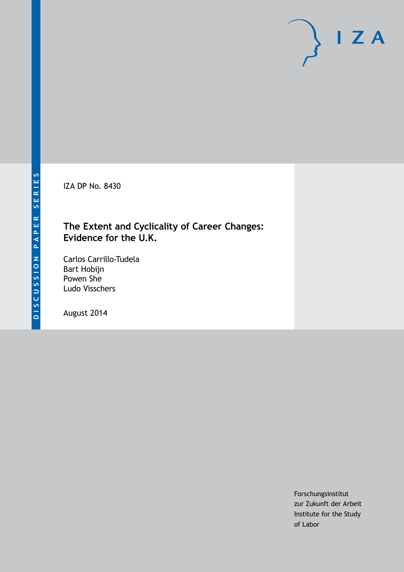IZA DP No. 8430

## **The Extent and Cyclicality of Career Changes: Evidence for the U.K.**

Carlos Carrillo-Tudela Bart Hobijn Powen She Ludo Visschers

August 2014

Forschungsinstitut zur Zukunft der Arbeit Institute for the Study of Labor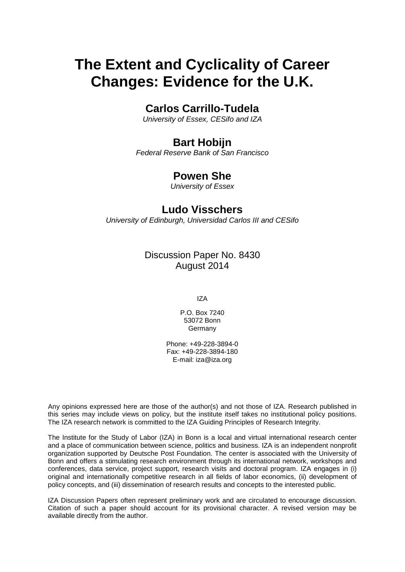# **The Extent and Cyclicality of Career Changes: Evidence for the U.K.**

## **Carlos Carrillo-Tudela**

*University of Essex, CESifo and IZA*

## **Bart Hobijn**

*Federal Reserve Bank of San Francisco*

## **Powen She**

*University of Essex*

## **Ludo Visschers**

*University of Edinburgh, Universidad Carlos III and CESifo*

## Discussion Paper No. 8430 August 2014

IZA

P.O. Box 7240 53072 Bonn **Germany** 

Phone: +49-228-3894-0 Fax: +49-228-3894-180 E-mail: [iza@iza.org](mailto:iza@iza.org)

Any opinions expressed here are those of the author(s) and not those of IZA. Research published in this series may include views on policy, but the institute itself takes no institutional policy positions. The IZA research network is committed to the IZA Guiding Principles of Research Integrity.

The Institute for the Study of Labor (IZA) in Bonn is a local and virtual international research center and a place of communication between science, politics and business. IZA is an independent nonprofit organization supported by Deutsche Post Foundation. The center is associated with the University of Bonn and offers a stimulating research environment through its international network, workshops and conferences, data service, project support, research visits and doctoral program. IZA engages in (i) original and internationally competitive research in all fields of labor economics, (ii) development of policy concepts, and (iii) dissemination of research results and concepts to the interested public.

<span id="page-1-0"></span>IZA Discussion Papers often represent preliminary work and are circulated to encourage discussion. Citation of such a paper should account for its provisional character. A revised version may be available directly from the author.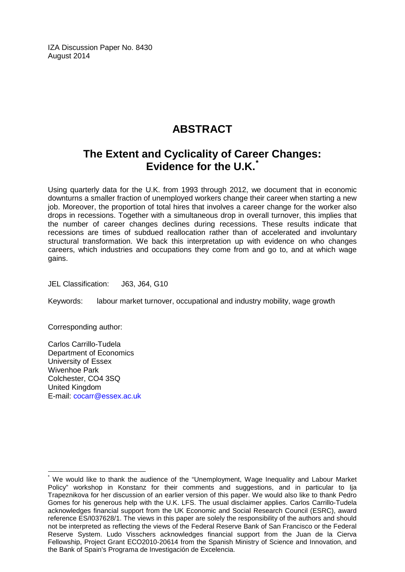IZA Discussion Paper No. 8430 August 2014

## **ABSTRACT**

## **The Extent and Cyclicality of Career Changes: Evidence for the U.K.[\\*](#page-1-0)**

Using quarterly data for the U.K. from 1993 through 2012, we document that in economic downturns a smaller fraction of unemployed workers change their career when starting a new job. Moreover, the proportion of total hires that involves a career change for the worker also drops in recessions. Together with a simultaneous drop in overall turnover, this implies that the number of career changes declines during recessions. These results indicate that recessions are times of subdued reallocation rather than of accelerated and involuntary structural transformation. We back this interpretation up with evidence on who changes careers, which industries and occupations they come from and go to, and at which wage gains.

JEL Classification: J63, J64, G10

Keywords: labour market turnover, occupational and industry mobility, wage growth

Corresponding author:

Carlos Carrillo-Tudela Department of Economics University of Essex Wivenhoe Park Colchester, CO4 3SQ United Kingdom E-mail: [cocarr@essex.ac.uk](mailto:cocarr@essex.ac.uk)

We would like to thank the audience of the "Unemployment, Wage Inequality and Labour Market Policy" workshop in Konstanz for their comments and suggestions, and in particular to Ija Trapeznikova for her discussion of an earlier version of this paper. We would also like to thank Pedro Gomes for his generous help with the U.K. LFS. The usual disclaimer applies. Carlos Carrillo-Tudela acknowledges financial support from the UK Economic and Social Research Council (ESRC), award reference ES/I037628/1. The views in this paper are solely the responsibility of the authors and should not be interpreted as reflecting the views of the Federal Reserve Bank of San Francisco or the Federal Reserve System. Ludo Visschers acknowledges financial support from the Juan de la Cierva Fellowship, Project Grant ECO2010-20614 from the Spanish Ministry of Science and Innovation, and the Bank of Spain's Programa de Investigación de Excelencia.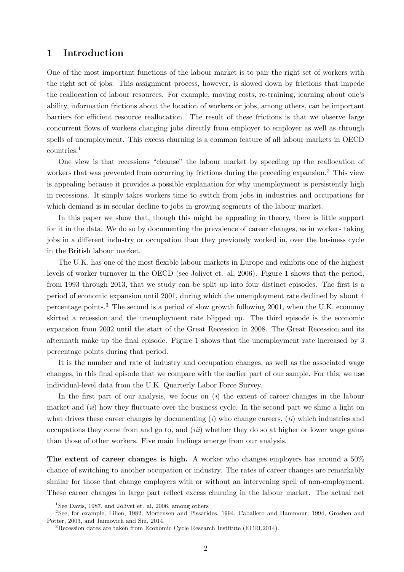### 1 Introduction

One of the most important functions of the labour market is to pair the right set of workers with the right set of jobs. This assignment process, however, is slowed down by frictions that impede the reallocation of labour resources. For example, moving costs, re-training, learning about one's ability, information frictions about the location of workers or jobs, among others, can be important barriers for efficient resource reallocation. The result of these frictions is that we observe large concurrent flows of workers changing jobs directly from employer to employer as well as through spells of unemployment. This excess churning is a common feature of all labour markets in OECD countries.<sup>1</sup>

One view is that recessions "cleanse" the labour market by speeding up the reallocation of workers that was prevented from occurring by frictions during the preceding expansion.<sup>2</sup> This view is appealing because it provides a possible explanation for why unemployment is persistently high in recessions. It simply takes workers time to switch from jobs in industries and occupations for which demand is in secular decline to jobs in growing segments of the labour market.

In this paper we show that, though this might be appealing in theory, there is little support for it in the data. We do so by documenting the prevalence of career changes, as in workers taking jobs in a different industry or occupation than they previously worked in, over the business cycle in the British labour market.

The U.K. has one of the most flexible labour markets in Europe and exhibits one of the highest levels of worker turnover in the OECD (see Jolivet et. al, 2006). Figure [1](#page-25-0) shows that the period, from 1993 through 2013, that we study can be split up into four distinct episodes. The first is a period of economic expansion until 2001, during which the unemployment rate declined by about 4 percentage points.<sup>3</sup> The second is a period of slow growth following 2001, when the U.K. economy skirted a recession and the unemployment rate blipped up. The third episode is the economic expansion from 2002 until the start of the Great Recession in 2008. The Great Recession and its aftermath make up the final episode. Figure [1](#page-25-0) shows that the unemployment rate increased by 3 percentage points during that period.

It is the number and rate of industry and occupation changes, as well as the associated wage changes, in this final episode that we compare with the earlier part of our sample. For this, we use individual-level data from the U.K. Quarterly Labor Force Survey.

In the first part of our analysis, we focus on  $(i)$  the extent of career changes in the labour market and  $(ii)$  how they fluctuate over the business cycle. In the second part we shine a light on what drives these career changes by documenting  $(i)$  who change careers,  $(ii)$  which industries and occupations they come from and go to, and (iii) whether they do so at higher or lower wage gains than those of other workers. Five main findings emerge from our analysis.

The extent of career changes is high. A worker who changes employers has around a 50% chance of switching to another occupation or industry. The rates of career changes are remarkably similar for those that change employers with or without an intervening spell of non-employment. These career changes in large part reflect excess churning in the labour market. The actual net

<sup>&</sup>lt;sup>1</sup>See Davis, 1987, and Jolivet et. al. 2006, among others

<sup>2</sup>See, for example, Lilien, 1982, Mortensen and Pissarides, 1994, Caballero and Hammour, 1994, Groshen and Potter, 2003, and Jaimovich and Siu, 2014.

<sup>3</sup>Recession dates are taken from Economic Cycle Research Institute (ECRI,2014).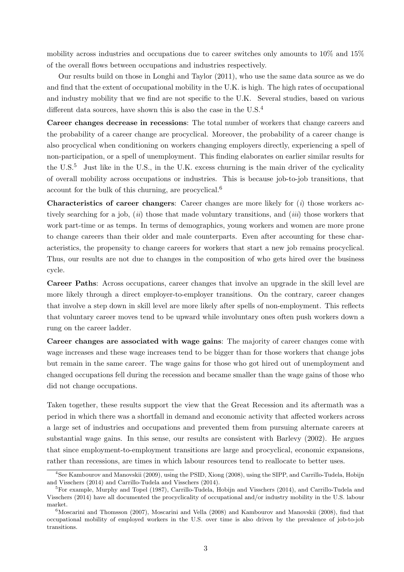mobility across industries and occupations due to career switches only amounts to 10% and 15% of the overall flows between occupations and industries respectively.

Our results build on those in Longhi and Taylor (2011), who use the same data source as we do and find that the extent of occupational mobility in the U.K. is high. The high rates of occupational and industry mobility that we find are not specific to the U.K. Several studies, based on various different data sources, have shown this is also the case in the U.S.<sup>4</sup>

Career changes decrease in recessions: The total number of workers that change careers and the probability of a career change are procyclical. Moreover, the probability of a career change is also procyclical when conditioning on workers changing employers directly, experiencing a spell of non-participation, or a spell of unemployment. This finding elaborates on earlier similar results for the U.S. $^5$  Just like in the U.S., in the U.K. excess churning is the main driver of the cyclicality of overall mobility across occupations or industries. This is because job-to-job transitions, that account for the bulk of this churning, are procyclical.<sup>6</sup>

**Characteristics of career changers:** Career changes are more likely for  $(i)$  those workers actively searching for a job,  $(ii)$  those that made voluntary transitions, and  $(iii)$  those workers that work part-time or as temps. In terms of demographics, young workers and women are more prone to change careers than their older and male counterparts. Even after accounting for these characteristics, the propensity to change careers for workers that start a new job remains procyclical. Thus, our results are not due to changes in the composition of who gets hired over the business cycle.

Career Paths: Across occupations, career changes that involve an upgrade in the skill level are more likely through a direct employer-to-employer transitions. On the contrary, career changes that involve a step down in skill level are more likely after spells of non-employment. This reflects that voluntary career moves tend to be upward while involuntary ones often push workers down a rung on the career ladder.

Career changes are associated with wage gains: The majority of career changes come with wage increases and these wage increases tend to be bigger than for those workers that change jobs but remain in the same career. The wage gains for those who got hired out of unemployment and changed occupations fell during the recession and became smaller than the wage gains of those who did not change occupations.

Taken together, these results support the view that the Great Recession and its aftermath was a period in which there was a shortfall in demand and economic activity that affected workers across a large set of industries and occupations and prevented them from pursuing alternate careers at substantial wage gains. In this sense, our results are consistent with Barlevy (2002). He argues that since employment-to-employment transitions are large and procyclical, economic expansions, rather than recessions, are times in which labour resources tend to reallocate to better uses.

<sup>4</sup>See Kambourov and Manovskii (2009), using the PSID, Xiong (2008), using the SIPP, and Carrillo-Tudela, Hobijn and Visschers (2014) and Carrillo-Tudela and Visschers (2014).

<sup>5</sup>For example, Murphy and Topel (1987), Carrillo-Tudela, Hobijn and Visschers (2014), and Carrillo-Tudela and Visschers (2014) have all documented the procyclicality of occupational and/or industry mobility in the U.S. labour market.

 $6$ Moscarini and Thomsson (2007), Moscarini and Vella (2008) and Kambourov and Manovskii (2008), find that occupational mobility of employed workers in the U.S. over time is also driven by the prevalence of job-to-job transitions.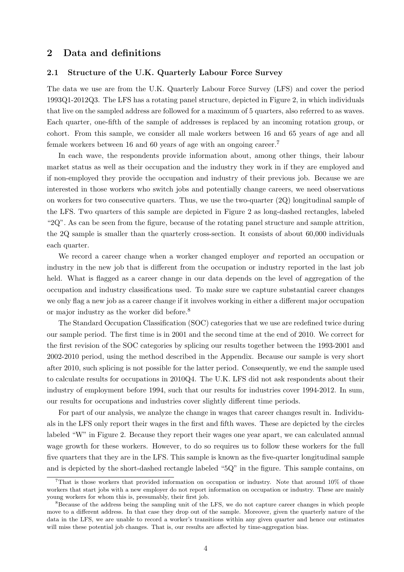### 2 Data and definitions

#### 2.1 Structure of the U.K. Quarterly Labour Force Survey

The data we use are from the U.K. Quarterly Labour Force Survey (LFS) and cover the period 1993Q1-2012Q3. The LFS has a rotating panel structure, depicted in Figure [2,](#page-26-0) in which individuals that live on the sampled address are followed for a maximum of 5 quarters, also referred to as waves. Each quarter, one-fifth of the sample of addresses is replaced by an incoming rotation group, or cohort. From this sample, we consider all male workers between 16 and 65 years of age and all female workers between 16 and 60 years of age with an ongoing career.<sup>7</sup>

In each wave, the respondents provide information about, among other things, their labour market status as well as their occupation and the industry they work in if they are employed and if non-employed they provide the occupation and industry of their previous job. Because we are interested in those workers who switch jobs and potentially change careers, we need observations on workers for two consecutive quarters. Thus, we use the two-quarter  $(2Q)$  longitudinal sample of the LFS. Two quarters of this sample are depicted in Figure [2](#page-26-0) as long-dashed rectangles, labeled "2Q". As can be seen from the figure, because of the rotating panel structure and sample attrition, the 2Q sample is smaller than the quarterly cross-section. It consists of about 60,000 individuals each quarter.

We record a career change when a worker changed employer *and* reported an occupation or industry in the new job that is different from the occupation or industry reported in the last job held. What is flagged as a career change in our data depends on the level of aggregation of the occupation and industry classifications used. To make sure we capture substantial career changes we only flag a new job as a career change if it involves working in either a different major occupation or major industry as the worker did before.<sup>8</sup>

The Standard Occupation Classification (SOC) categories that we use are redefined twice during our sample period. The first time is in 2001 and the second time at the end of 2010. We correct for the first revision of the SOC categories by splicing our results together between the 1993-2001 and 2002-2010 period, using the method described in the Appendix. Because our sample is very short after 2010, such splicing is not possible for the latter period. Consequently, we end the sample used to calculate results for occupations in 2010Q4. The U.K. LFS did not ask respondents about their industry of employment before 1994, such that our results for industries cover 1994-2012. In sum, our results for occupations and industries cover slightly different time periods.

For part of our analysis, we analyze the change in wages that career changes result in. Individuals in the LFS only report their wages in the first and fifth waves. These are depicted by the circles labeled "W" in Figure [2.](#page-26-0) Because they report their wages one year apart, we can calculated annual wage growth for these workers. However, to do so requires us to follow these workers for the full five quarters that they are in the LFS. This sample is known as the five-quarter longitudinal sample and is depicted by the short-dashed rectangle labeled "5Q" in the figure. This sample contains, on

<sup>&</sup>lt;sup>7</sup>That is those workers that provided information on occupation or industry. Note that around  $10\%$  of those workers that start jobs with a new employer do not report information on occupation or industry. These are mainly young workers for whom this is, presumably, their first job.

<sup>8</sup>Because of the address being the sampling unit of the LFS, we do not capture career changes in which people move to a different address. In that case they drop out of the sample. Moreover, given the quarterly nature of the data in the LFS, we are unable to record a worker's transitions within any given quarter and hence our estimates will miss these potential job changes. That is, our results are affected by time-aggregation bias.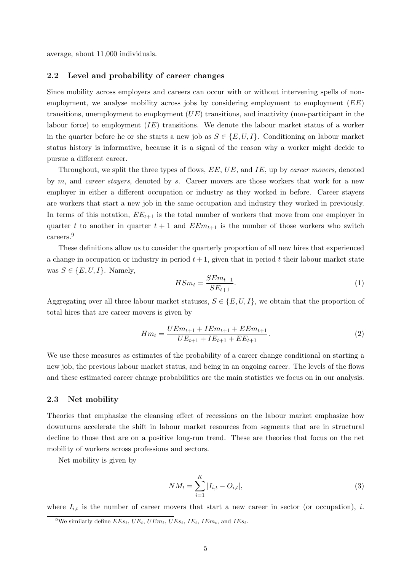average, about 11,000 individuals.

#### 2.2 Level and probability of career changes

Since mobility across employers and careers can occur with or without intervening spells of nonemployment, we analyse mobility across jobs by considering employment to employment  $(EE)$ transitions, unemployment to employment  $(UE)$  transitions, and inactivity (non-participant in the labour force) to employment  $(IE)$  transitions. We denote the labour market status of a worker in the quarter before he or she starts a new job as  $S \in \{E, U, I\}$ . Conditioning on labour market status history is informative, because it is a signal of the reason why a worker might decide to pursue a different career.

Throughout, we split the three types of flows,  $EE, UE$ , and  $IE$ , up by *career movers*, denoted by m, and career stayers, denoted by s. Career movers are those workers that work for a new employer in either a different occupation or industry as they worked in before. Career stayers are workers that start a new job in the same occupation and industry they worked in previously. In terms of this notation,  $EE_{t+1}$  is the total number of workers that move from one employer in quarter t to another in quarter  $t + 1$  and  $EEm_{t+1}$  is the number of those workers who switch careers.<sup>9</sup>

These definitions allow us to consider the quarterly proportion of all new hires that experienced a change in occupation or industry in period  $t + 1$ , given that in period t their labour market state was  $S \in \{E, U, I\}$ . Namely,

$$
HSm_t = \frac{SEM_{t+1}}{SE_{t+1}}.\tag{1}
$$

Aggregating over all three labour market statuses,  $S \in \{E, U, I\}$ , we obtain that the proportion of total hires that are career movers is given by

$$
Hm_t = \frac{UEm_{t+1} + IEm_{t+1} + EEm_{t+1}}{UE_{t+1} + IE_{t+1} + EE_{t+1}}.\tag{2}
$$

We use these measures as estimates of the probability of a career change conditional on starting a new job, the previous labour market status, and being in an ongoing career. The levels of the flows and these estimated career change probabilities are the main statistics we focus on in our analysis.

#### 2.3 Net mobility

Theories that emphasize the cleansing effect of recessions on the labour market emphasize how downturns accelerate the shift in labour market resources from segments that are in structural decline to those that are on a positive long-run trend. These are theories that focus on the net mobility of workers across professions and sectors.

Net mobility is given by

$$
NM_t = \sum_{i=1}^{K} |I_{i,t} - O_{i,t}|,
$$
\n(3)

where  $I_{i,t}$  is the number of career movers that start a new career in sector (or occupation), i.

<sup>&</sup>lt;sup>9</sup>We similarly define  $EEs_t, UE_t, UEn_t, UEs_t, IE_t, IEm_t,$  and  $IEs_t$ .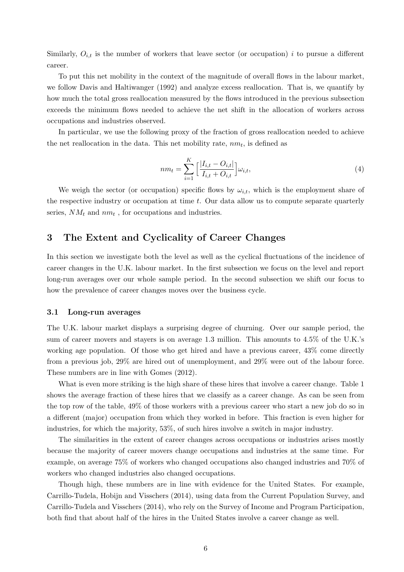Similarly,  $O_{i,t}$  is the number of workers that leave sector (or occupation) i to pursue a different career.

To put this net mobility in the context of the magnitude of overall flows in the labour market, we follow Davis and Haltiwanger (1992) and analyze excess reallocation. That is, we quantify by how much the total gross reallocation measured by the flows introduced in the previous subsection exceeds the minimum flows needed to achieve the net shift in the allocation of workers across occupations and industries observed.

In particular, we use the following proxy of the fraction of gross reallocation needed to achieve the net reallocation in the data. This net mobility rate,  $nm_t$ , is defined as

$$
nm_t = \sum_{i=1}^{K} \left[ \frac{|I_{i,t} - O_{i,t}|}{I_{i,t} + O_{i,t}} \right] \omega_{i,t},
$$
\n(4)

We weigh the sector (or occupation) specific flows by  $\omega_{i,t}$ , which is the employment share of the respective industry or occupation at time  $t$ . Our data allow us to compute separate quarterly series,  $NM_t$  and  $nm_t$ , for occupations and industries.

### 3 The Extent and Cyclicality of Career Changes

In this section we investigate both the level as well as the cyclical fluctuations of the incidence of career changes in the U.K. labour market. In the first subsection we focus on the level and report long-run averages over our whole sample period. In the second subsection we shift our focus to how the prevalence of career changes moves over the business cycle.

#### 3.1 Long-run averages

The U.K. labour market displays a surprising degree of churning. Over our sample period, the sum of career movers and stayers is on average 1.3 million. This amounts to 4.5% of the U.K.'s working age population. Of those who get hired and have a previous career, 43% come directly from a previous job, 29% are hired out of unemployment, and 29% were out of the labour force. These numbers are in line with Gomes (2012).

What is even more striking is the high share of these hires that involve a career change. Table [1](#page-25-1) shows the average fraction of these hires that we classify as a career change. As can be seen from the top row of the table, 49% of those workers with a previous career who start a new job do so in a different (major) occupation from which they worked in before. This fraction is even higher for industries, for which the majority, 53%, of such hires involve a switch in major industry.

The similarities in the extent of career changes across occupations or industries arises mostly because the majority of career movers change occupations and industries at the same time. For example, on average 75% of workers who changed occupations also changed industries and 70% of workers who changed industries also changed occupations.

Though high, these numbers are in line with evidence for the United States. For example, Carrillo-Tudela, Hobijn and Visschers (2014), using data from the Current Population Survey, and Carrillo-Tudela and Visschers (2014), who rely on the Survey of Income and Program Participation, both find that about half of the hires in the United States involve a career change as well.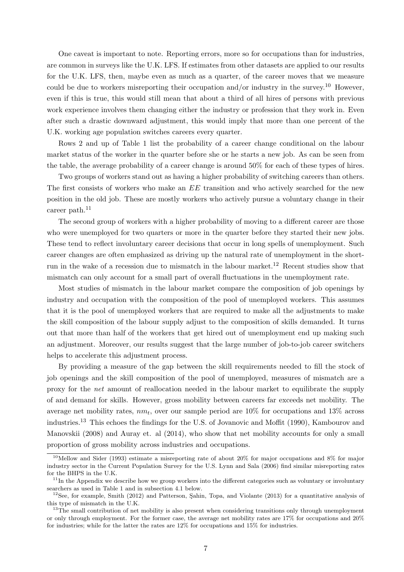One caveat is important to note. Reporting errors, more so for occupations than for industries, are common in surveys like the U.K. LFS. If estimates from other datasets are applied to our results for the U.K. LFS, then, maybe even as much as a quarter, of the career moves that we measure could be due to workers misreporting their occupation and/or industry in the survey.<sup>10</sup> However, even if this is true, this would still mean that about a third of all hires of persons with previous work experience involves them changing either the industry or profession that they work in. Even after such a drastic downward adjustment, this would imply that more than one percent of the U.K. working age population switches careers every quarter.

Rows 2 and up of Table [1](#page-25-1) list the probability of a career change conditional on the labour market status of the worker in the quarter before she or he starts a new job. As can be seen from the table, the average probability of a career change is around 50% for each of these types of hires.

Two groups of workers stand out as having a higher probability of switching careers than others. The first consists of workers who make an EE transition and who actively searched for the new position in the old job. These are mostly workers who actively pursue a voluntary change in their career path.<sup>11</sup>

The second group of workers with a higher probability of moving to a different career are those who were unemployed for two quarters or more in the quarter before they started their new jobs. These tend to reflect involuntary career decisions that occur in long spells of unemployment. Such career changes are often emphasized as driving up the natural rate of unemployment in the shortrun in the wake of a recession due to mismatch in the labour market.<sup>12</sup> Recent studies show that mismatch can only account for a small part of overall fluctuations in the unemployment rate.

Most studies of mismatch in the labour market compare the composition of job openings by industry and occupation with the composition of the pool of unemployed workers. This assumes that it is the pool of unemployed workers that are required to make all the adjustments to make the skill composition of the labour supply adjust to the composition of skills demanded. It turns out that more than half of the workers that get hired out of unemployment end up making such an adjustment. Moreover, our results suggest that the large number of job-to-job career switchers helps to accelerate this adjustment process.

By providing a measure of the gap between the skill requirements needed to fill the stock of job openings and the skill composition of the pool of unemployed, measures of mismatch are a proxy for the net amount of reallocation needed in the labour market to equilibrate the supply of and demand for skills. However, gross mobility between careers far exceeds net mobility. The average net mobility rates,  $nm_t$ , over our sample period are 10% for occupations and 13% across industries.<sup>13</sup> This echoes the findings for the U.S. of Jovanovic and Moffit (1990), Kambourov and Manovskii (2008) and Auray et. al (2014), who show that net mobility accounts for only a small proportion of gross mobility across industries and occupations.

<sup>&</sup>lt;sup>10</sup>Mellow and Sider (1993) estimate a misreporting rate of about 20% for major occupations and  $8\%$  for major industry sector in the Current Population Survey for the U.S. Lynn and Sala (2006) find similar misreporting rates for the BHPS in the U.K.

 $11$ In the Appendix we describe how we group workers into the different categories such as voluntary or involuntary searchers as used in Table [1](#page-25-1) and in subsection 4.1 below.

 $12$ See, for example, Smith (2012) and Patterson, Sahin, Topa, and Violante (2013) for a quantitative analysis of this type of mismatch in the U.K.

<sup>&</sup>lt;sup>13</sup>The small contribution of net mobility is also present when considering transitions only through unemployment or only through employment. For the former case, the average net mobility rates are 17% for occupations and 20% for industries; while for the latter the rates are 12% for occupations and 15% for industries.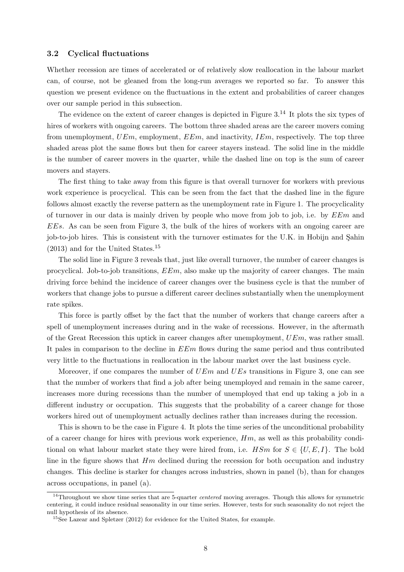#### 3.2 Cyclical fluctuations

Whether recession are times of accelerated or of relatively slow reallocation in the labour market can, of course, not be gleaned from the long-run averages we reported so far. To answer this question we present evidence on the fluctuations in the extent and probabilities of career changes over our sample period in this subsection.

The evidence on the extent of career changes is depicted in Figure [3.](#page-31-0)<sup>14</sup> It plots the six types of hires of workers with ongoing careers. The bottom three shaded areas are the career movers coming from unemployment,  $UEm$ , employment,  $EEm$ , and inactivity,  $IEm$ , respectively. The top three shaded areas plot the same flows but then for career stayers instead. The solid line in the middle is the number of career movers in the quarter, while the dashed line on top is the sum of career movers and stayers.

The first thing to take away from this figure is that overall turnover for workers with previous work experience is procyclical. This can be seen from the fact that the dashed line in the figure follows almost exactly the reverse pattern as the unemployment rate in Figure [1.](#page-25-0) The procyclicality of turnover in our data is mainly driven by people who move from job to job, i.e. by  $EEm$  and EEs. As can be seen from Figure [3,](#page-31-0) the bulk of the hires of workers with an ongoing career are job-to-job hires. This is consistent with the turnover estimates for the U.K. in Hobijn and Sahin  $(2013)$  and for the United States.<sup>15</sup>

The solid line in Figure [3](#page-31-0) reveals that, just like overall turnover, the number of career changes is procyclical. Job-to-job transitions,  $EEm$ , also make up the majority of career changes. The main driving force behind the incidence of career changes over the business cycle is that the number of workers that change jobs to pursue a different career declines substantially when the unemployment rate spikes.

This force is partly offset by the fact that the number of workers that change careers after a spell of unemployment increases during and in the wake of recessions. However, in the aftermath of the Great Recession this uptick in career changes after unemployment, UEm, was rather small. It pales in comparison to the decline in  $EEm$  flows during the same period and thus contributed very little to the fluctuations in reallocation in the labour market over the last business cycle.

Moreover, if one compares the number of  $UEm$  and  $UEs$  transitions in Figure [3,](#page-31-0) one can see that the number of workers that find a job after being unemployed and remain in the same career, increases more during recessions than the number of unemployed that end up taking a job in a different industry or occupation. This suggests that the probability of a career change for those workers hired out of unemployment actually declines rather than increases during the recession.

This is shown to be the case in Figure [4.](#page-32-0) It plots the time series of the unconditional probability of a career change for hires with previous work experience,  $Hm$ , as well as this probability conditional on what labour market state they were hired from, i.e.  $HSm$  for  $S \in \{U, E, I\}$ . The bold line in the figure shows that  $Hm$  declined during the recession for both occupation and industry changes. This decline is starker for changes across industries, shown in panel (b), than for changes across occupations, in panel (a).

 $14$ Throughout we show time series that are 5-quarter *centered* moving averages. Though this allows for symmetric centering, it could induce residual seasonality in our time series. However, tests for such seasonality do not reject the null hypothesis of its absence.

<sup>15</sup>See Lazear and Spletzer (2012) for evidence for the United States, for example.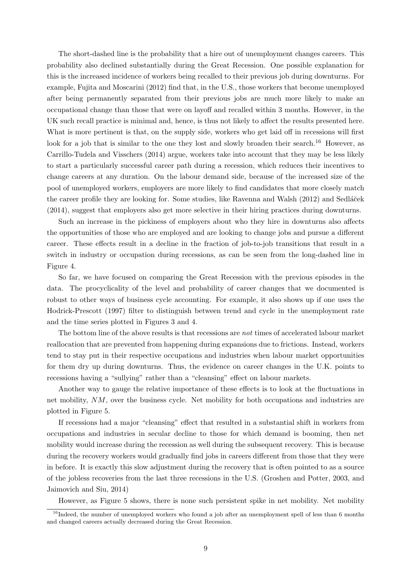The short-dashed line is the probability that a hire out of unemployment changes careers. This probability also declined substantially during the Great Recession. One possible explanation for this is the increased incidence of workers being recalled to their previous job during downturns. For example, Fujita and Moscarini (2012) find that, in the U.S., those workers that become unemployed after being permanently separated from their previous jobs are much more likely to make an occupational change than those that were on layoff and recalled within 3 months. However, in the UK such recall practice is minimal and, hence, is thus not likely to affect the results presented here. What is more pertinent is that, on the supply side, workers who get laid off in recessions will first look for a job that is similar to the one they lost and slowly broaden their search.<sup>16</sup> However, as Carrillo-Tudela and Visschers (2014) argue, workers take into account that they may be less likely to start a particularly successful career path during a recession, which reduces their incentives to change careers at any duration. On the labour demand side, because of the increased size of the pool of unemployed workers, employers are more likely to find candidates that more closely match the career profile they are looking for. Some studies, like Ravenna and Walsh (2012) and Sedlácek (2014), suggest that employers also get more selective in their hiring practices during downturns.

Such an increase in the pickiness of employers about who they hire in downturns also affects the opportunities of those who are employed and are looking to change jobs and pursue a different career. These effects result in a decline in the fraction of job-to-job transitions that result in a switch in industry or occupation during recessions, as can be seen from the long-dashed line in Figure [4.](#page-32-0)

So far, we have focused on comparing the Great Recession with the previous episodes in the data. The procyclicality of the level and probability of career changes that we documented is robust to other ways of business cycle accounting. For example, it also shows up if one uses the Hodrick-Prescott (1997) filter to distinguish between trend and cycle in the unemployment rate and the time series plotted in Figures [3](#page-31-0) and [4.](#page-32-0)

The bottom line of the above results is that recessions are not times of accelerated labour market reallocation that are prevented from happening during expansions due to frictions. Instead, workers tend to stay put in their respective occupations and industries when labour market opportunities for them dry up during downturns. Thus, the evidence on career changes in the U.K. points to recessions having a "sullying" rather than a "cleansing" effect on labour markets.

Another way to gauge the relative importance of these effects is to look at the fluctuations in net mobility, NM, over the business cycle. Net mobility for both occupations and industries are plotted in Figure [5.](#page-33-0)

If recessions had a major "cleansing" effect that resulted in a substantial shift in workers from occupations and industries in secular decline to those for which demand is booming, then net mobility would increase during the recession as well during the subsequent recovery. This is because during the recovery workers would gradually find jobs in careers different from those that they were in before. It is exactly this slow adjustment during the recovery that is often pointed to as a source of the jobless recoveries from the last three recessions in the U.S. (Groshen and Potter, 2003, and Jaimovich and Siu, 2014)

However, as Figure [5](#page-33-0) shows, there is none such persistent spike in net mobility. Net mobility

<sup>&</sup>lt;sup>16</sup>Indeed, the number of unemployed workers who found a job after an unemployment spell of less than 6 months and changed careers actually decreased during the Great Recession.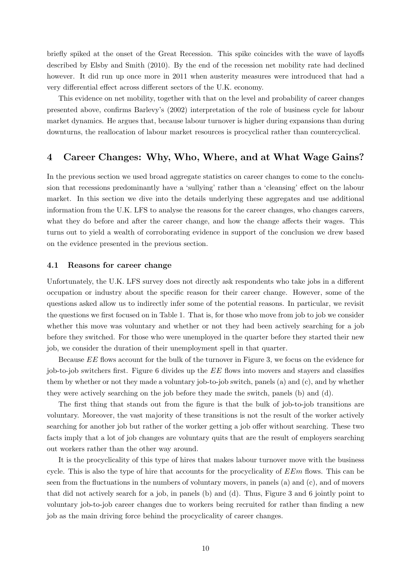briefly spiked at the onset of the Great Recession. This spike coincides with the wave of layoffs described by Elsby and Smith (2010). By the end of the recession net mobility rate had declined however. It did run up once more in 2011 when austerity measures were introduced that had a very differential effect across different sectors of the U.K. economy.

This evidence on net mobility, together with that on the level and probability of career changes presented above, confirms Barlevy's (2002) interpretation of the role of business cycle for labour market dynamics. He argues that, because labour turnover is higher during expansions than during downturns, the reallocation of labour market resources is procyclical rather than countercyclical.

### 4 Career Changes: Why, Who, Where, and at What Wage Gains?

In the previous section we used broad aggregate statistics on career changes to come to the conclusion that recessions predominantly have a 'sullying' rather than a 'cleansing' effect on the labour market. In this section we dive into the details underlying these aggregates and use additional information from the U.K. LFS to analyse the reasons for the career changes, who changes careers, what they do before and after the career change, and how the change affects their wages. This turns out to yield a wealth of corroborating evidence in support of the conclusion we drew based on the evidence presented in the previous section.

### 4.1 Reasons for career change

Unfortunately, the U.K. LFS survey does not directly ask respondents who take jobs in a different occupation or industry about the specific reason for their career change. However, some of the questions asked allow us to indirectly infer some of the potential reasons. In particular, we revisit the questions we first focused on in Table 1. That is, for those who move from job to job we consider whether this move was voluntary and whether or not they had been actively searching for a job before they switched. For those who were unemployed in the quarter before they started their new job, we consider the duration of their unemployment spell in that quarter.

Because EE flows account for the bulk of the turnover in Figure [3,](#page-31-0) we focus on the evidence for job-to-job switchers first. Figure [6](#page-34-0) divides up the EE flows into movers and stayers and classifies them by whether or not they made a voluntary job-to-job switch, panels (a) and (c), and by whether they were actively searching on the job before they made the switch, panels (b) and (d).

The first thing that stands out from the figure is that the bulk of job-to-job transitions are voluntary. Moreover, the vast majority of these transitions is not the result of the worker actively searching for another job but rather of the worker getting a job offer without searching. These two facts imply that a lot of job changes are voluntary quits that are the result of employers searching out workers rather than the other way around.

It is the procyclicality of this type of hires that makes labour turnover move with the business cycle. This is also the type of hire that accounts for the procyclicality of  $EEm$  flows. This can be seen from the fluctuations in the numbers of voluntary movers, in panels (a) and (c), and of movers that did not actively search for a job, in panels (b) and (d). Thus, Figure [3](#page-31-0) and [6](#page-34-0) jointly point to voluntary job-to-job career changes due to workers being recruited for rather than finding a new job as the main driving force behind the procyclicality of career changes.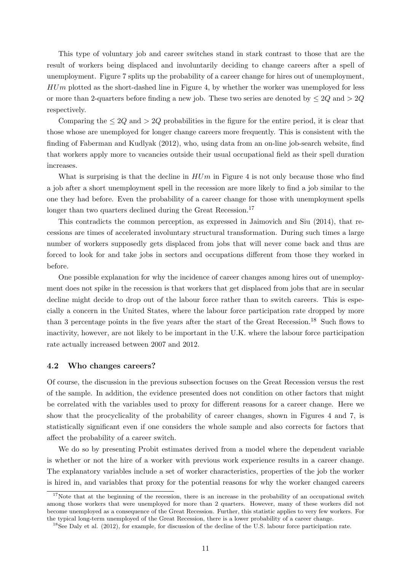This type of voluntary job and career switches stand in stark contrast to those that are the result of workers being displaced and involuntarily deciding to change careers after a spell of unemployment. Figure [7](#page-35-0) splits up the probability of a career change for hires out of unemployment,  $HUm$  plotted as the short-dashed line in Figure [4,](#page-32-0) by whether the worker was unemployed for less or more than 2-quarters before finding a new job. These two series are denoted by  $\leq 2Q$  and  $> 2Q$ respectively.

Comparing the  $\leq 2Q$  and  $> 2Q$  probabilities in the figure for the entire period, it is clear that those whose are unemployed for longer change careers more frequently. This is consistent with the finding of Faberman and Kudlyak (2012), who, using data from an on-line job-search website, find that workers apply more to vacancies outside their usual occupational field as their spell duration increases.

What is surprising is that the decline in  $HUm$  in Figure [4](#page-32-0) is not only because those who find a job after a short unemployment spell in the recession are more likely to find a job similar to the one they had before. Even the probability of a career change for those with unemployment spells longer than two quarters declined during the Great Recession.<sup>17</sup>

This contradicts the common perception, as expressed in Jaimovich and Siu (2014), that recessions are times of accelerated involuntary structural transformation. During such times a large number of workers supposedly gets displaced from jobs that will never come back and thus are forced to look for and take jobs in sectors and occupations different from those they worked in before.

One possible explanation for why the incidence of career changes among hires out of unemployment does not spike in the recession is that workers that get displaced from jobs that are in secular decline might decide to drop out of the labour force rather than to switch careers. This is especially a concern in the United States, where the labour force participation rate dropped by more than 3 percentage points in the five years after the start of the Great Recession.<sup>18</sup> Such flows to inactivity, however, are not likely to be important in the U.K. where the labour force participation rate actually increased between 2007 and 2012.

#### 4.2 Who changes careers?

Of course, the discussion in the previous subsection focuses on the Great Recession versus the rest of the sample. In addition, the evidence presented does not condition on other factors that might be correlated with the variables used to proxy for different reasons for a career change. Here we show that the procyclicality of the probability of career changes, shown in Figures [4](#page-32-0) and [7,](#page-35-0) is statistically significant even if one considers the whole sample and also corrects for factors that affect the probability of a career switch.

We do so by presenting Probit estimates derived from a model where the dependent variable is whether or not the hire of a worker with previous work experience results in a career change. The explanatory variables include a set of worker characteristics, properties of the job the worker is hired in, and variables that proxy for the potential reasons for why the worker changed careers

<sup>&</sup>lt;sup>17</sup>Note that at the beginning of the recession, there is an increase in the probability of an occupational switch among those workers that were unemployed for more than 2 quarters. However, many of these workers did not become unemployed as a consequence of the Great Recession. Further, this statistic applies to very few workers. For the typical long-term unemployed of the Great Recession, there is a lower probability of a career change.

<sup>&</sup>lt;sup>18</sup>See Daly et al. (2012), for example, for discussion of the decline of the U.S. labour force participation rate.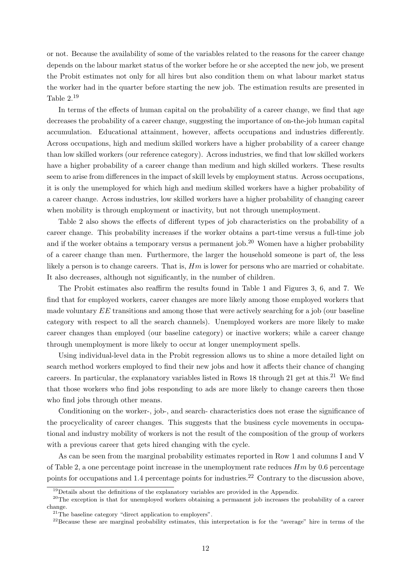or not. Because the availability of some of the variables related to the reasons for the career change depends on the labour market status of the worker before he or she accepted the new job, we present the Probit estimates not only for all hires but also condition them on what labour market status the worker had in the quarter before starting the new job. The estimation results are presented in Table  $2^{19}$ 

In terms of the effects of human capital on the probability of a career change, we find that age decreases the probability of a career change, suggesting the importance of on-the-job human capital accumulation. Educational attainment, however, affects occupations and industries differently. Across occupations, high and medium skilled workers have a higher probability of a career change than low skilled workers (our reference category). Across industries, we find that low skilled workers have a higher probability of a career change than medium and high skilled workers. These results seem to arise from differences in the impact of skill levels by employment status. Across occupations, it is only the unemployed for which high and medium skilled workers have a higher probability of a career change. Across industries, low skilled workers have a higher probability of changing career when mobility is through employment or inactivity, but not through unemployment.

Table [2](#page-27-0) also shows the effects of different types of job characteristics on the probability of a career change. This probability increases if the worker obtains a part-time versus a full-time job and if the worker obtains a temporary versus a permanent job.<sup>20</sup> Women have a higher probability of a career change than men. Furthermore, the larger the household someone is part of, the less likely a person is to change careers. That is,  $Hm$  is lower for persons who are married or cohabitate. It also decreases, although not significantly, in the number of children.

The Probit estimates also reaffirm the results found in Table [1](#page-25-1) and Figures [3,](#page-31-0) [6,](#page-34-0) and [7.](#page-35-0) We find that for employed workers, career changes are more likely among those employed workers that made voluntary EE transitions and among those that were actively searching for a job (our baseline category with respect to all the search channels). Unemployed workers are more likely to make career changes than employed (our baseline category) or inactive workers; while a career change through unemployment is more likely to occur at longer unemployment spells.

Using individual-level data in the Probit regression allows us to shine a more detailed light on search method workers employed to find their new jobs and how it affects their chance of changing careers. In particular, the explanatory variables listed in Rows 18 through 21 get at this.<sup>21</sup> We find that those workers who find jobs responding to ads are more likely to change careers then those who find jobs through other means.

Conditioning on the worker-, job-, and search- characteristics does not erase the significance of the procyclicality of career changes. This suggests that the business cycle movements in occupational and industry mobility of workers is not the result of the composition of the group of workers with a previous career that gets hired changing with the cycle.

As can be seen from the marginal probability estimates reported in Row 1 and columns I and V of Table [2,](#page-27-0) a one percentage point increase in the unemployment rate reduces  $Hm$  by 0.6 percentage points for occupations and 1.4 percentage points for industries.<sup>22</sup> Contrary to the discussion above,

<sup>&</sup>lt;sup>19</sup>Details about the definitions of the explanatory variables are provided in the Appendix.

<sup>&</sup>lt;sup>20</sup>The exception is that for unemployed workers obtaining a permanent job increases the probability of a career change.

<sup>21</sup>The baseline category "direct application to employers".

<sup>&</sup>lt;sup>22</sup>Because these are marginal probability estimates, this interpretation is for the "average" hire in terms of the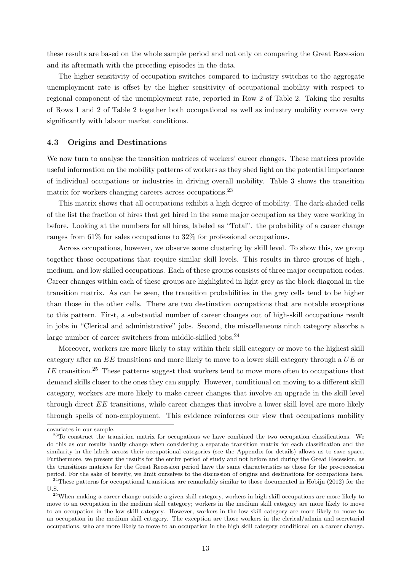these results are based on the whole sample period and not only on comparing the Great Recession and its aftermath with the preceding episodes in the data.

The higher sensitivity of occupation switches compared to industry switches to the aggregate unemployment rate is offset by the higher sensitivity of occupational mobility with respect to regional component of the unemployment rate, reported in Row 2 of Table [2.](#page-27-0) Taking the results of Rows 1 and 2 of Table [2](#page-27-0) together both occupational as well as industry mobility comove very significantly with labour market conditions.

#### 4.3 Origins and Destinations

We now turn to analyse the transition matrices of workers' career changes. These matrices provide useful information on the mobility patterns of workers as they shed light on the potential importance of individual occupations or industries in driving overall mobility. Table [3](#page-28-0) shows the transition matrix for workers changing careers across occupations.<sup>23</sup>

This matrix shows that all occupations exhibit a high degree of mobility. The dark-shaded cells of the list the fraction of hires that get hired in the same major occupation as they were working in before. Looking at the numbers for all hires, labeled as "Total". the probability of a career change ranges from 61% for sales occupations to 32% for professional occupations.

Across occupations, however, we observe some clustering by skill level. To show this, we group together those occupations that require similar skill levels. This results in three groups of high-, medium, and low skilled occupations. Each of these groups consists of three major occupation codes. Career changes within each of these groups are highlighted in light grey as the block diagonal in the transition matrix. As can be seen, the transition probabilities in the grey cells tend to be higher than those in the other cells. There are two destination occupations that are notable exceptions to this pattern. First, a substantial number of career changes out of high-skill occupations result in jobs in "Clerical and administrative" jobs. Second, the miscellaneous ninth category absorbs a large number of career switchers from middle-skilled jobs.<sup>24</sup>

Moreover, workers are more likely to stay within their skill category or move to the highest skill category after an EE transitions and more likely to move to a lower skill category through a UE or  $IE$  transition.<sup>25</sup> These patterns suggest that workers tend to move more often to occupations that demand skills closer to the ones they can supply. However, conditional on moving to a different skill category, workers are more likely to make career changes that involve an upgrade in the skill level through direct EE transitions, while career changes that involve a lower skill level are more likely through spells of non-employment. This evidence reinforces our view that occupations mobility

covariates in our sample.

<sup>&</sup>lt;sup>23</sup>To construct the transition matrix for occupations we have combined the two occupation classifications. We do this as our results hardly change when considering a separate transition matrix for each classification and the similarity in the labels across their occupational categories (see the Appendix for details) allows us to save space. Furthermore, we present the results for the entire period of study and not before and during the Great Recession, as the transitions matrices for the Great Recession period have the same characteristics as those for the pre-recession period. For the sake of brevity, we limit ourselves to the discussion of origins and destinations for occupations here.  $^{24}$ These patterns for occupational transitions are remarkably similar to those documented in Hobijn (2012) for the

U.S.

<sup>25</sup>When making a career change outside a given skill category, workers in high skill occupations are more likely to move to an occupation in the medium skill category; workers in the medium skill category are more likely to move to an occupation in the low skill category. However, workers in the low skill category are more likely to move to an occupation in the medium skill category. The exception are those workers in the clerical/admin and secretarial occupations, who are more likely to move to an occupation in the high skill category conditional on a career change.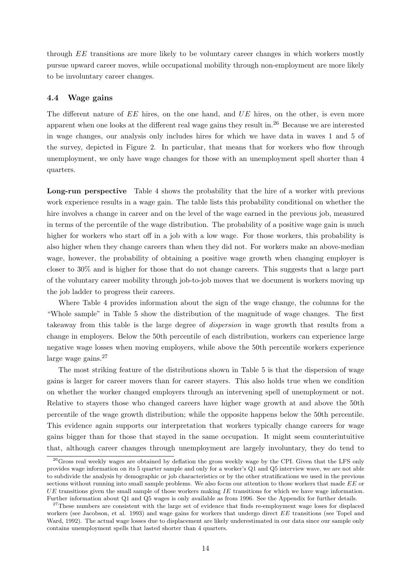through EE transitions are more likely to be voluntary career changes in which workers mostly pursue upward career moves, while occupational mobility through non-employment are more likely to be involuntary career changes.

#### 4.4 Wage gains

The different nature of  $EE$  hires, on the one hand, and  $UE$  hires, on the other, is even more apparent when one looks at the different real wage gains they result in.<sup>26</sup> Because we are interested in wage changes, our analysis only includes hires for which we have data in waves 1 and 5 of the survey, depicted in Figure [2.](#page-26-0) In particular, that means that for workers who flow through unemployment, we only have wage changes for those with an unemployment spell shorter than 4 quarters.

Long-run perspective Table [4](#page-29-0) shows the probability that the hire of a worker with previous work experience results in a wage gain. The table lists this probability conditional on whether the hire involves a change in career and on the level of the wage earned in the previous job, measured in terms of the percentile of the wage distribution. The probability of a positive wage gain is much higher for workers who start off in a job with a low wage. For those workers, this probability is also higher when they change careers than when they did not. For workers make an above-median wage, however, the probability of obtaining a positive wage growth when changing employer is closer to 30% and is higher for those that do not change careers. This suggests that a large part of the voluntary career mobility through job-to-job moves that we document is workers moving up the job ladder to progress their careers.

Where Table [4](#page-29-0) provides information about the sign of the wage change, the columns for the "Whole sample" in Table [5](#page-30-0) show the distribution of the magnitude of wage changes. The first takeaway from this table is the large degree of dispersion in wage growth that results from a change in employers. Below the 50th percentile of each distribution, workers can experience large negative wage losses when moving employers, while above the 50th percentile workers experience large wage gains.<sup>27</sup>

The most striking feature of the distributions shown in Table [5](#page-30-0) is that the dispersion of wage gains is larger for career movers than for career stayers. This also holds true when we condition on whether the worker changed employers through an intervening spell of unemployment or not. Relative to stayers those who changed careers have higher wage growth at and above the 50th percentile of the wage growth distribution; while the opposite happens below the 50th percentile. This evidence again supports our interpretation that workers typically change careers for wage gains bigger than for those that stayed in the same occupation. It might seem counterintuitive that, although career changes through unemployment are largely involuntary, they do tend to

<sup>&</sup>lt;sup>26</sup>Gross real weekly wages are obtained by deflation the gross weekly wage by the CPI. Given that the LFS only provides wage information on its 5 quarter sample and only for a worker's Q1 and Q5 interview wave, we are not able to subdivide the analysis by demographic or job characteristics or by the other stratifications we used in the previous sections without running into small sample problems. We also focus our attention to those workers that made EE or  $UE$  transitions given the small sample of those workers making IE transitions for which we have wage information. Further information about Q1 and Q5 wages is only available as from 1996. See the Appendix for further details.

<sup>&</sup>lt;sup>27</sup>These numbers are consistent with the large set of evidence that finds re-employment wage loses for displaced workers (see Jacobson, et al. 1993) and wage gains for workers that undergo direct EE transitions (see Topel and Ward, 1992). The actual wage losses due to displacement are likely underestimated in our data since our sample only contains unemployment spells that lasted shorter than 4 quarters.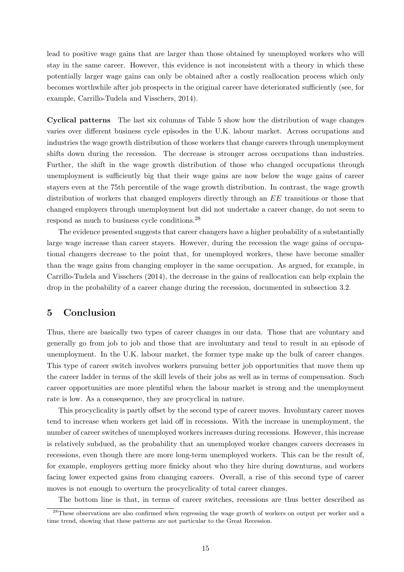lead to positive wage gains that are larger than those obtained by unemployed workers who will stay in the same career. However, this evidence is not inconsistent with a theory in which these potentially larger wage gains can only be obtained after a costly reallocation process which only becomes worthwhile after job prospects in the original career have deteriorated sufficiently (see, for example, Carrillo-Tudela and Visschers, 2014).

Cyclical patterns The last six columns of Table [5](#page-30-0) show how the distribution of wage changes varies over different business cycle episodes in the U.K. labour market. Across occupations and industries the wage growth distribution of those workers that change careers through unemployment shifts down during the recession. The decrease is stronger across occupations than industries. Further, the shift in the wage growth distribution of those who changed occupations through unemployment is sufficiently big that their wage gains are now below the wage gains of career stayers even at the 75th percentile of the wage growth distribution. In contrast, the wage growth distribution of workers that changed employers directly through an EE transitions or those that changed employers through unemployment but did not undertake a career change, do not seem to respond as much to business cycle conditions.<sup>28</sup>

The evidence presented suggests that career changers have a higher probability of a substantially large wage increase than career stayers. However, during the recession the wage gains of occupational changers decrease to the point that, for unemployed workers, these have become smaller than the wage gains from changing employer in the same occupation. As argued, for example, in Carrillo-Tudela and Visschers (2014), the decrease in the gains of reallocation can help explain the drop in the probability of a career change during the recession, documented in subsection 3.2.

### 5 Conclusion

Thus, there are basically two types of career changes in our data. Those that are voluntary and generally go from job to job and those that are involuntary and tend to result in an episode of unemployment. In the U.K. labour market, the former type make up the bulk of career changes. This type of career switch involves workers pursuing better job opportunities that move them up the career ladder in terms of the skill levels of their jobs as well as in terms of compensation. Such career opportunities are more plentiful when the labour market is strong and the unemployment rate is low. As a consequence, they are procyclical in nature.

This procyclicality is partly offset by the second type of career moves. Involuntary career moves tend to increase when workers get laid off in recessions. With the increase in unemployment, the number of career switches of unemployed workers increases during recessions. However, this increase is relatively subdued, as the probability that an unemployed worker changes careers decreases in recessions, even though there are more long-term unemployed workers. This can be the result of, for example, employers getting more finicky about who they hire during downturns, and workers facing lower expected gains from changing careers. Overall, a rise of this second type of career moves is not enough to overturn the procyclicality of total career changes.

The bottom line is that, in terms of career switches, recessions are thus better described as

<sup>&</sup>lt;sup>28</sup>These observations are also confirmed when regressing the wage growth of workers on output per worker and a time trend, showing that these patterns are not particular to the Great Recession.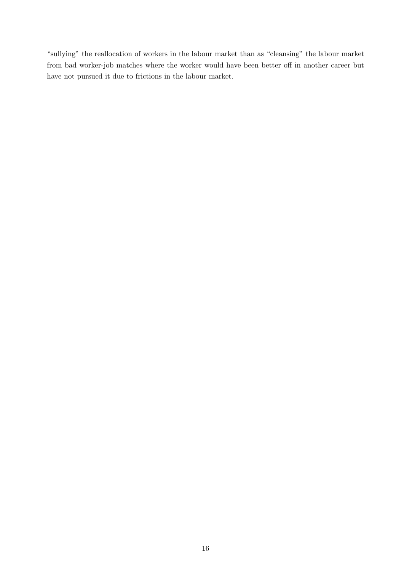"sullying" the reallocation of workers in the labour market than as "cleansing" the labour market from bad worker-job matches where the worker would have been better off in another career but have not pursued it due to frictions in the labour market.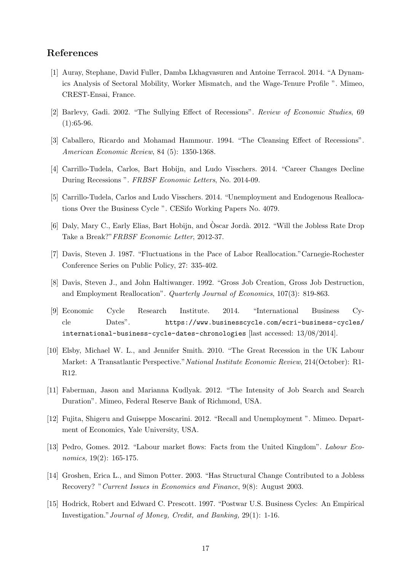### References

- [1] Auray, Stephane, David Fuller, Damba Lkhagvasuren and Antoine Terracol. 2014. "A Dynamics Analysis of Sectoral Mobility, Worker Mismatch, and the Wage-Tenure Profile ". Mimeo, CREST-Ensai, France.
- [2] Barlevy, Gadi. 2002. "The Sullying Effect of Recessions". Review of Economic Studies, 69  $(1):65-96.$
- [3] Caballero, Ricardo and Mohamad Hammour. 1994. "The Cleansing Effect of Recessions". American Economic Review, 84 (5): 1350-1368.
- [4] Carrillo-Tudela, Carlos, Bart Hobijn, and Ludo Visschers. 2014. "Career Changes Decline During Recessions ". FRBSF Economic Letters, No. 2014-09.
- [5] Carrillo-Tudela, Carlos and Ludo Visschers. 2014. "Unemployment and Endogenous Reallocations Over the Business Cycle ". CESifo Working Papers No. 4079.
- [6] Daly, Mary C., Early Elias, Bart Hobijn, and Oscar Jordà. 2012. "Will the Jobless Rate Drop Take a Break?"FRBSF Economic Letter, 2012-37.
- [7] Davis, Steven J. 1987. "Fluctuations in the Pace of Labor Reallocation."Carnegie-Rochester Conference Series on Public Policy, 27: 335-402.
- [8] Davis, Steven J., and John Haltiwanger. 1992. "Gross Job Creation, Gross Job Destruction, and Employment Reallocation". Quarterly Journal of Economics, 107(3): 819-863.
- [9] Economic Cycle Research Institute. 2014. "International Business Cycle Dates". [https://www.businesscycle.com/ecri-business-cycles/](https://www.businesscycle.com/ecri-business-cycles/international-business-cycle-dates-chronologies) [international-business-cycle-dates-chronologies](https://www.businesscycle.com/ecri-business-cycles/international-business-cycle-dates-chronologies) [last accessed: 13/08/2014].
- [10] Elsby, Michael W. L., and Jennifer Smith. 2010. "The Great Recession in the UK Labour Market: A Transatlantic Perspective."National Institute Economic Review, 214(October): R1- R12.
- [11] Faberman, Jason and Marianna Kudlyak. 2012. "The Intensity of Job Search and Search Duration". Mimeo, Federal Reserve Bank of Richmond, USA.
- [12] Fujita, Shigeru and Guiseppe Moscarini. 2012. "Recall and Unemployment ". Mimeo. Department of Economics, Yale University, USA.
- [13] Pedro, Gomes. 2012. "Labour market flows: Facts from the United Kingdom". Labour Economics, 19(2): 165-175.
- [14] Groshen, Erica L., and Simon Potter. 2003. "Has Structural Change Contributed to a Jobless Recovery? "Current Issues in Economics and Finance, 9(8): August 2003.
- [15] Hodrick, Robert and Edward C. Prescott. 1997. "Postwar U.S. Business Cycles: An Empirical Investigation."Journal of Money, Credit, and Banking, 29(1): 1-16.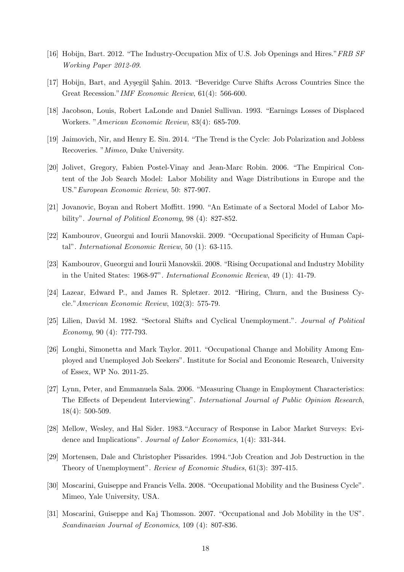- [16] Hobijn, Bart. 2012. "The Industry-Occupation Mix of U.S. Job Openings and Hires."FRB SF Working Paper 2012-09.
- [17] Hobijn, Bart, and Ayşegül Şahin. 2013. "Beveridge Curve Shifts Across Countries Since the Great Recession."IMF Economic Review, 61(4): 566-600.
- [18] Jacobson, Louis, Robert LaLonde and Daniel Sullivan. 1993. "Earnings Losses of Displaced Workers. "American Economic Review, 83(4): 685-709.
- [19] Jaimovich, Nir, and Henry E. Siu. 2014. "The Trend is the Cycle: Job Polarization and Jobless Recoveries. "Mimeo, Duke University.
- [20] Jolivet, Gregory, Fabien Postel-Vinay and Jean-Marc Robin. 2006. "The Empirical Content of the Job Search Model: Labor Mobility and Wage Distributions in Europe and the US."European Economic Review, 50: 877-907.
- [21] Jovanovic, Boyan and Robert Moffitt. 1990. "An Estimate of a Sectoral Model of Labor Mobility". Journal of Political Economy, 98 (4): 827-852.
- [22] Kambourov, Gueorgui and Iourii Manovskii. 2009. "Occupational Specificity of Human Capital". International Economic Review, 50 (1): 63-115.
- [23] Kambourov, Gueorgui and Iourii Manovskii. 2008. "Rising Occupational and Industry Mobility in the United States: 1968-97". International Economic Review, 49 (1): 41-79.
- [24] Lazear, Edward P., and James R. Spletzer. 2012. "Hiring, Churn, and the Business Cycle."American Economic Review, 102(3): 575-79.
- [25] Lilien, David M. 1982. "Sectoral Shifts and Cyclical Unemployment.". Journal of Political Economy, 90 (4): 777-793.
- [26] Longhi, Simonetta and Mark Taylor. 2011. "Occupational Change and Mobility Among Employed and Unemployed Job Seekers". Institute for Social and Economic Research, University of Essex, WP No. 2011-25.
- [27] Lynn, Peter, and Emmanuela Sala. 2006. "Measuring Change in Employment Characteristics: The Effects of Dependent Interviewing". International Journal of Public Opinion Research, 18(4): 500-509.
- [28] Mellow, Wesley, and Hal Sider. 1983."Accuracy of Response in Labor Market Surveys: Evidence and Implications". Journal of Labor Economics, 1(4): 331-344.
- [29] Mortensen, Dale and Christopher Pissarides. 1994."Job Creation and Job Destruction in the Theory of Unemployment". Review of Economic Studies, 61(3): 397-415.
- [30] Moscarini, Guiseppe and Francis Vella. 2008. "Occupational Mobility and the Business Cycle". Mimeo, Yale University, USA.
- [31] Moscarini, Guiseppe and Kaj Thomsson. 2007. "Occupational and Job Mobility in the US". Scandinavian Journal of Economics, 109 (4): 807-836.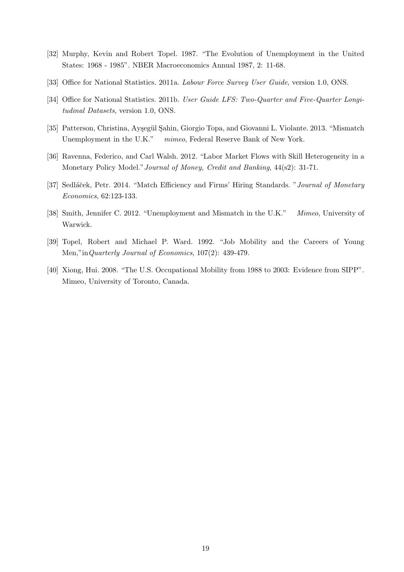- [32] Murphy, Kevin and Robert Topel. 1987. "The Evolution of Unemployment in the United States: 1968 - 1985". NBER Macroeconomics Annual 1987, 2: 11-68.
- [33] Office for National Statistics. 2011a. Labour Force Survey User Guide, version 1.0, ONS.
- [34] Office for National Statistics. 2011b. User Guide LFS: Two-Quarter and Five-Quarter Longitudinal Datasets, version 1.0, ONS.
- [35] Patterson, Christina, Ayşegül Şahin, Giorgio Topa, and Giovanni L. Violante. 2013. "Mismatch" Unemployment in the U.K." mimeo, Federal Reserve Bank of New York.
- [36] Ravenna, Federico, and Carl Walsh. 2012. "Labor Market Flows with Skill Heterogeneity in a Monetary Policy Model."Journal of Money, Credit and Banking, 44(s2): 31-71.
- [37] Sedláček, Petr. 2014. "Match Efficiency and Firms' Hiring Standards. "Journal of Monetary Economics, 62:123-133.
- [38] Smith, Jennifer C. 2012. "Unemployment and Mismatch in the U.K." Mimeo, University of Warwick.
- [39] Topel, Robert and Michael P. Ward. 1992. "Job Mobility and the Careers of Young Men,"inQuarterly Journal of Economics, 107(2): 439-479.
- [40] Xiong, Hui. 2008. "The U.S. Occupational Mobility from 1988 to 2003: Evidence from SIPP". Mimeo, University of Toronto, Canada.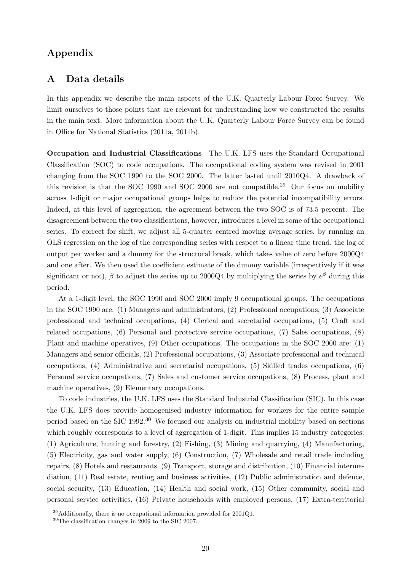## Appendix

### A Data details

In this appendix we describe the main aspects of the U.K. Quarterly Labour Force Survey. We limit ourselves to those points that are relevant for understanding how we constructed the results in the main text. More information about the U.K. Quarterly Labour Force Survey can be found in Office for National Statistics (2011a, 2011b).

Occupation and Industrial Classifications The U.K. LFS uses the Standard Occupational Classification (SOC) to code occupations. The occupational coding system was revised in 2001 changing from the SOC 1990 to the SOC 2000. The latter lasted until 2010Q4. A drawback of this revision is that the SOC 1990 and SOC 2000 are not compatible.<sup>29</sup> Our focus on mobility across 1-digit or major occupational groups helps to reduce the potential incompatibility errors. Indeed, at this level of aggregation, the agreement between the two SOC is of 73.5 percent. The disagreement between the two classifications, however, introduces a level in some of the occupational series. To correct for shift, we adjust all 5-quarter centred moving average series, by running an OLS regression on the log of the corresponding series with respect to a linear time trend, the log of output per worker and a dummy for the structural break, which takes value of zero before 2000Q4 and one after. We then used the coefficient estimate of the dummy variable (irrespectively if it was significant or not),  $\beta$  to adjust the series up to 2000Q4 by multiplying the series by  $e^{\beta}$  during this period.

At a 1-digit level, the SOC 1990 and SOC 2000 imply 9 occupational groups. The occupations in the SOC 1990 are: (1) Managers and administrators, (2) Professional occupations, (3) Associate professional and technical occupations, (4) Clerical and secretarial occupations, (5) Craft and related occupations, (6) Personal and protective service occupations, (7) Sales occupations, (8) Plant and machine operatives, (9) Other occupations. The occupations in the SOC 2000 are: (1) Managers and senior officials, (2) Professional occupations, (3) Associate professional and technical occupations, (4) Administrative and secretarial occupations, (5) Skilled trades occupations, (6) Personal service occupations, (7) Sales and customer service occupations, (8) Process, plant and machine operatives, (9) Elementary occupations.

To code industries, the U.K. LFS uses the Standard Industrial Classification (SIC). In this case the U.K. LFS does provide homogenised industry information for workers for the entire sample period based on the SIC 1992.<sup>30</sup> We focused our analysis on industrial mobility based on sections which roughly corresponds to a level of aggregation of 1-digit. This implies 15 industry categories: (1) Agriculture, hunting and forestry, (2) Fishing, (3) Mining and quarrying, (4) Manufacturing, (5) Electricity, gas and water supply, (6) Construction, (7) Wholesale and retail trade including repairs, (8) Hotels and restaurants, (9) Transport, storage and distribution, (10) Financial intermediation, (11) Real estate, renting and business activities, (12) Public administration and defence, social security, (13) Education, (14) Health and social work, (15) Other community, social and personal service activities, (16) Private households with employed persons, (17) Extra-territorial

 $^{29}$ Additionally, there is no occupational information provided for 2001Q1.

<sup>30</sup>The classification changes in 2009 to the SIC 2007.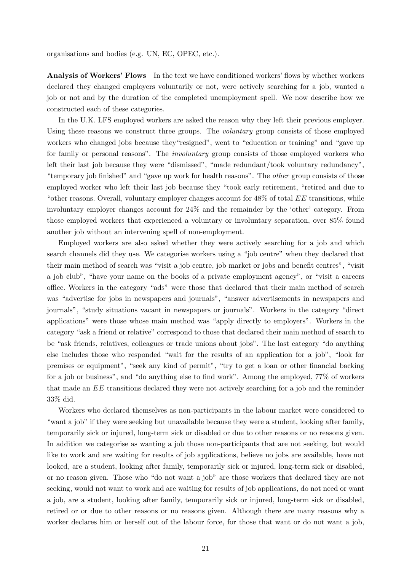organisations and bodies (e.g. UN, EC, OPEC, etc.).

Analysis of Workers' Flows In the text we have conditioned workers' flows by whether workers declared they changed employers voluntarily or not, were actively searching for a job, wanted a job or not and by the duration of the completed unemployment spell. We now describe how we constructed each of these categories.

In the U.K. LFS employed workers are asked the reason why they left their previous employer. Using these reasons we construct three groups. The *voluntary* group consists of those employed workers who changed jobs because they"resigned", went to "education or training" and "gave up for family or personal reasons". The *involuntary* group consists of those employed workers who left their last job because they were "dismissed", "made redundant/took voluntary redundancy", "temporary job finished" and "gave up work for health reasons". The other group consists of those employed worker who left their last job because they "took early retirement, "retired and due to "other reasons. Overall, voluntary employer changes account for  $48\%$  of total  $EE$  transitions, while involuntary employer changes account for 24% and the remainder by the 'other' category. From those employed workers that experienced a voluntary or involuntary separation, over 85% found another job without an intervening spell of non-employment.

Employed workers are also asked whether they were actively searching for a job and which search channels did they use. We categorise workers using a "job centre" when they declared that their main method of search was "visit a job centre, job market or jobs and benefit centres", "visit a job club", "have your name on the books of a private employment agency", or "visit a careers office. Workers in the category "ads" were those that declared that their main method of search was "advertise for jobs in newspapers and journals", "answer advertisements in newspapers and journals", "study situations vacant in newspapers or journals". Workers in the category "direct applications" were those whose main method was "apply directly to employers". Workers in the category "ask a friend or relative" correspond to those that declared their main method of search to be "ask friends, relatives, colleagues or trade unions about jobs". The last category "do anything else includes those who responded "wait for the results of an application for a job", "look for premises or equipment", "seek any kind of permit", "try to get a loan or other financial backing for a job or business", and "do anything else to find work". Among the employed, 77% of workers that made an EE transitions declared they were not actively searching for a job and the reminder 33% did.

Workers who declared themselves as non-participants in the labour market were considered to "want a job" if they were seeking but unavailable because they were a student, looking after family, temporarily sick or injured, long-term sick or disabled or due to other reasons or no reasons given. In addition we categorise as wanting a job those non-participants that are not seeking, but would like to work and are waiting for results of job applications, believe no jobs are available, have not looked, are a student, looking after family, temporarily sick or injured, long-term sick or disabled, or no reason given. Those who "do not want a job" are those workers that declared they are not seeking, would not want to work and are waiting for results of job applications, do not need or want a job, are a student, looking after family, temporarily sick or injured, long-term sick or disabled, retired or or due to other reasons or no reasons given. Although there are many reasons why a worker declares him or herself out of the labour force, for those that want or do not want a job,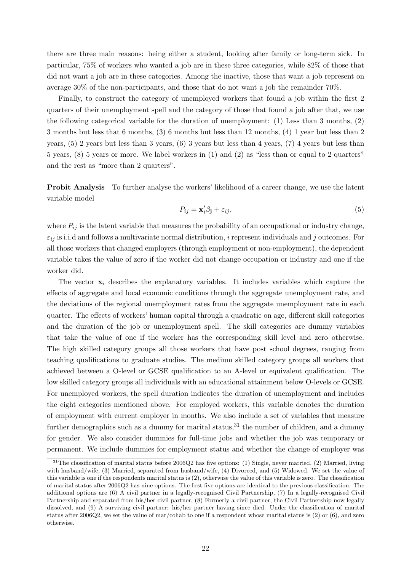there are three main reasons: being either a student, looking after family or long-term sick. In particular, 75% of workers who wanted a job are in these three categories, while 82% of those that did not want a job are in these categories. Among the inactive, those that want a job represent on average 30% of the non-participants, and those that do not want a job the remainder 70%.

Finally, to construct the category of unemployed workers that found a job within the first 2 quarters of their unemployment spell and the category of those that found a job after that, we use the following categorical variable for the duration of unemployment: (1) Less than 3 months, (2) 3 months but less that 6 months, (3) 6 months but less than 12 months, (4) 1 year but less than 2 years, (5) 2 years but less than 3 years, (6) 3 years but less than 4 years, (7) 4 years but less than 5 years, (8) 5 years or more. We label workers in (1) and (2) as "less than or equal to 2 quarters" and the rest as "more than 2 quarters".

Probit Analysis To further analyse the workers' likelihood of a career change, we use the latent variable model

$$
P_{ij} = \mathbf{x}'_i \beta_j + \varepsilon_{ij},\tag{5}
$$

where  $P_{ij}$  is the latent variable that measures the probability of an occupational or industry change,  $\varepsilon_{ij}$  is i.i.d and follows a multivariate normal distribution, *i* represent individuals and *j* outcomes. For all those workers that changed employers (through employment or non-employment), the dependent variable takes the value of zero if the worker did not change occupation or industry and one if the worker did.

The vector  $x_i$  describes the explanatory variables. It includes variables which capture the effects of aggregate and local economic conditions through the aggregate unemployment rate, and the deviations of the regional unemployment rates from the aggregate unemployment rate in each quarter. The effects of workers' human capital through a quadratic on age, different skill categories and the duration of the job or unemployment spell. The skill categories are dummy variables that take the value of one if the worker has the corresponding skill level and zero otherwise. The high skilled category groups all those workers that have post school degrees, ranging from teaching qualifications to graduate studies. The medium skilled category groups all workers that achieved between a O-level or GCSE qualification to an A-level or equivalent qualification. The low skilled category groups all individuals with an educational attainment below O-levels or GCSE. For unemployed workers, the spell duration indicates the duration of unemployment and includes the eight categories mentioned above. For employed workers, this variable denotes the duration of employment with current employer in months. We also include a set of variables that measure further demographics such as a dummy for marital status,  $31$  the number of children, and a dummy for gender. We also consider dummies for full-time jobs and whether the job was temporary or permanent. We include dummies for employment status and whether the change of employer was

 $31$ The classification of marital status before 2006Q2 has five options: (1) Single, never married, (2) Married, living with husband/wife, (3) Married, separated from husband/wife, (4) Divorced, and (5) Widowed. We set the value of this variable is one if the respondents marital status is (2), otherwise the value of this variable is zero. The classification of marital status after 2006Q2 has nine options. The first five options are identical to the previous classification. The additional options are (6) A civil partner in a legally-recognised Civil Partnership, (7) In a legally-recognised Civil Partnership and separated from his/her civil partner, (8) Formerly a civil partner, the Civil Partnership now legally dissolved, and (9) A surviving civil partner: his/her partner having since died. Under the classification of marital status after 2006Q2, we set the value of mar/cohab to one if a respondent whose marital status is (2) or (6), and zero otherwise.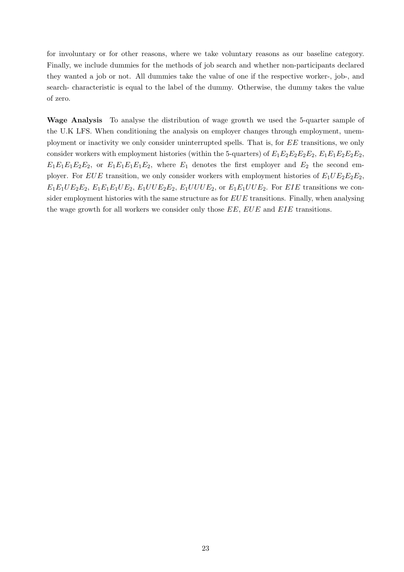for involuntary or for other reasons, where we take voluntary reasons as our baseline category. Finally, we include dummies for the methods of job search and whether non-participants declared they wanted a job or not. All dummies take the value of one if the respective worker-, job-, and search- characteristic is equal to the label of the dummy. Otherwise, the dummy takes the value of zero.

Wage Analysis To analyse the distribution of wage growth we used the 5-quarter sample of the U.K LFS. When conditioning the analysis on employer changes through employment, unemployment or inactivity we only consider uninterrupted spells. That is, for EE transitions, we only consider workers with employment histories (within the 5-quarters) of  $E_1E_2E_2E_2E_2$ ,  $E_1E_1E_2E_2E_2$ ,  $E_1E_1E_1E_2E_2$ , or  $E_1E_1E_1E_1E_2$ , where  $E_1$  denotes the first employer and  $E_2$  the second employer. For EUE transition, we only consider workers with employment histories of  $E_1UE_2E_2E_2$ ,  $E_1E_1UE_2E_2$ ,  $E_1E_1E_1UE_2$ ,  $E_1UUE_2E_2$ ,  $E_1UUUE_2$ , or  $E_1E_1UUE_2$ . For EIE transitions we consider employment histories with the same structure as for  $EUE$  transitions. Finally, when analysing the wage growth for all workers we consider only those EE, EUE and EIE transitions.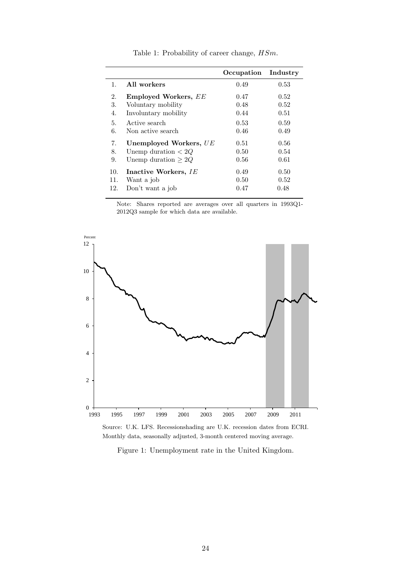<span id="page-25-1"></span>

|     |                                     | Occupation | Industry |
|-----|-------------------------------------|------------|----------|
| 1.  | All workers                         | 0.49       | 0.53     |
| 2.  | <b>Employed Workers, EE</b>         | 0.47       | 0.52     |
| 3.  | Voluntary mobility                  | 0.48       | 0.52     |
| 4.  | Involuntary mobility                | 0.44       | 0.51     |
| 5.  | Active search                       | 0.53       | 0.59     |
| 6.  | Non active search                   | 0.46       | 0.49     |
| 7.  | Unemployed Workers, UE              | 0.51       | 0.56     |
| 8.  | Unemp duration $\langle 2Q \rangle$ | 0.50       | 0.54     |
| 9.  | Unemp duration $> 2Q$               | 0.56       | 0.61     |
| 10. | Inactive Workers, IE                | 0.49       | 0.50     |
| 11. | Want a job                          | 0.50       | 0.52     |
| 12. | Don't want a job                    | 0.47       | 0.48     |

Table 1: Probability of career change, HSm.

Note: Shares reported are averages over all quarters in 1993Q1- 2012Q3 sample for which data are available.

<span id="page-25-0"></span>

Source: U.K. LFS. Recessionshading are U.K. recession dates from ECRI. Monthly data, seasonally adjusted, 3-month centered moving average.

Figure 1: Unemployment rate in the United Kingdom.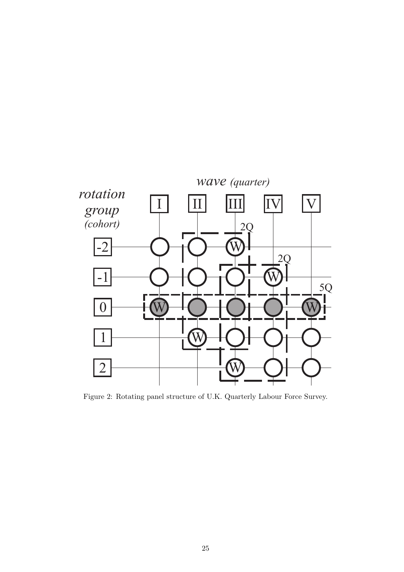<span id="page-26-0"></span>

Figure 2: Rotating panel structure of U.K. Quarterly Labour Force Survey.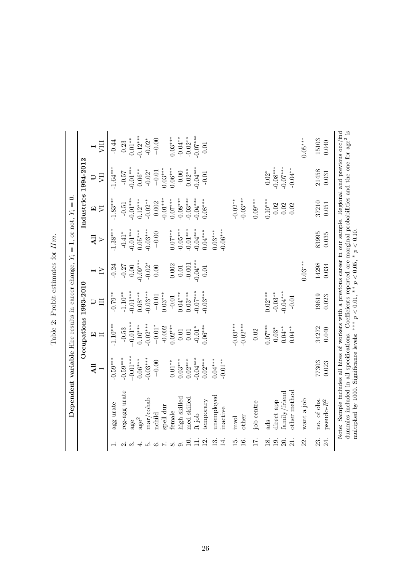<span id="page-27-0"></span>

| ES.                             |  |
|---------------------------------|--|
| خ<br>ì                          |  |
| <b>ATIMATES</b>                 |  |
| יודמה ר<br>$Pr_{\text{O}}$ bit. |  |
| i<br>ċ                          |  |
| Table                           |  |

|                                      |                                                                                                                                                                                                                                                |                        | <b>Dependent variable Hire results in career change, <math>Y_i = 1</math>, or not, <math>Y_i = 0</math>.</b> |                         |                    |                         |                         |                         |                |
|--------------------------------------|------------------------------------------------------------------------------------------------------------------------------------------------------------------------------------------------------------------------------------------------|------------------------|--------------------------------------------------------------------------------------------------------------|-------------------------|--------------------|-------------------------|-------------------------|-------------------------|----------------|
|                                      |                                                                                                                                                                                                                                                |                        | Occupations 1993-2010                                                                                        |                         |                    |                         | Industries $1994-2012$  |                         |                |
|                                      |                                                                                                                                                                                                                                                | All                    | 囯                                                                                                            | $\overline{\mathsf{U}}$ |                    | $\overline{A}$          | 囗                       | Þ                       |                |
|                                      |                                                                                                                                                                                                                                                |                        | $\Box$                                                                                                       | $\Xi$                   | $\overline{N}$     | $\triangleright$        | $\nabla$                | ĮЦ                      | VIII           |
|                                      | agg urate                                                                                                                                                                                                                                      | $-0.59***$             | $-1.10***$                                                                                                   | $-0.79**$               | $-0.24$            | $-1.38***$              | $-1.83***$              | $-1.64***$              | $-0.44$        |
| $\dot{\mathbf{c}}$                   | reg-agg urate                                                                                                                                                                                                                                  | $-0.59***$             | $-0.53$                                                                                                      | $-1.10**$               | $-0.27$            | $-0.41*$                | $-0.51$                 | $-0.57$                 | 0.23           |
| ကံ                                   | age                                                                                                                                                                                                                                            | $-0.01***$             | $-0.01***$                                                                                                   | $-0.01***$              | $0.00\,$           | $-0.01***$              | $-0.01***$              | $-0.01***$              | $0.01***$      |
| $\div$                               | $\rm age^2$                                                                                                                                                                                                                                    | $0.06***$              | $0.10***$                                                                                                    | $0.08***$               | $-0.09***$         | $0.05***$               | $0.12***$               | $0.06^{\ast\ast}$       | $0.12***$      |
| <u>ນວ່</u>                           | mar/cohab                                                                                                                                                                                                                                      | $-0.03***$             | $-0.02***$                                                                                                   | $-0.03$ ***             | $-0.02*$           | $-0.03***$              | $-0.02**$               | $-0.02*$                | $-0.02*$       |
| $\dot{\circ}$                        | nchild                                                                                                                                                                                                                                         | $-0.00$                | $-0.01*$                                                                                                     | $-0.01$                 | 0.00               | $-0.00$                 | 0.002                   | $-0.01$                 | $-0.00$        |
| $\mathcal{L}$                        | spell dur                                                                                                                                                                                                                                      |                        | $-0.002$                                                                                                     | $0.03***$               |                    |                         | $-0.01***$              | $0.03***$               |                |
| $\infty$                             | female                                                                                                                                                                                                                                         | $0.01^{**}$            | $0.02***$                                                                                                    | $-0.01$                 | 0.002              | $0.07***$               | $0.07***$               | $0.06***$               | $0.03***$      |
| $\ddot{\circ}$                       | high skilled                                                                                                                                                                                                                                   | $0.03***$              | $0.01\,$                                                                                                     | $0.04***$               | $0.01$<br>$-0.001$ | $-0.05***$              | $-0.08***$              | $-0.00$                 | $-0.04**$      |
| $\Xi$                                | ned skilled                                                                                                                                                                                                                                    | $0.02***$              | $0.01\,$                                                                                                     | $0.03***$               |                    | $-0.01***$              | $-0.03***$              | $0.02**$                | $-0.02**$      |
| $\exists$                            | ft job                                                                                                                                                                                                                                         | $0.04***$              | $-0.01*$                                                                                                     | $0.07***$               | $0.04***$          | $0.04***$               | $0.04***$               | $-0.04***$              | $-0.07***$     |
| $\overline{c}$                       | temporary                                                                                                                                                                                                                                      | $0.02***$              | $0.06***$                                                                                                    | $-0.03***$              | $0.01$             | $0.04***$               | $0.08***$               | $-0.01$                 | 0.01           |
| $\frac{3}{2}$<br>14.                 | $n$ and $n$<br>inactive                                                                                                                                                                                                                        | $0.04***$<br>$-0.01**$ |                                                                                                              |                         |                    | $-0.06***$<br>$0.03***$ |                         |                         |                |
| $\frac{15}{10}$<br>16.               | other<br>lovni                                                                                                                                                                                                                                 |                        | $-0.03***$<br>$-0.02***$                                                                                     |                         |                    |                         | $-0.03***$<br>$-0.02**$ |                         |                |
| 17.                                  | job centre                                                                                                                                                                                                                                     |                        | 0.02                                                                                                         |                         |                    |                         | $0.09***$               |                         |                |
| 18.                                  | ads                                                                                                                                                                                                                                            |                        | $0.07***$                                                                                                    | $0.02***$               |                    |                         | $0.10***$               | $0.02*$                 |                |
| 19.                                  | direct app                                                                                                                                                                                                                                     |                        | $0.03^\ast$                                                                                                  | $-0.03**$               |                    |                         | 0.02                    | $-0.08***$              |                |
| $\overline{20}$<br>$\overline{21}$ . | other method<br>$\tanh y / \text{friend}$                                                                                                                                                                                                      |                        | $0.04***$<br>$0.04***$                                                                                       | $-0.04***$<br>$-0.01$   |                    |                         | 0.02<br>0.02            | $-0.07***$<br>$-0.04**$ |                |
| 22.                                  | want a job                                                                                                                                                                                                                                     |                        |                                                                                                              |                         | $0.03***$          |                         |                         |                         | $0.05***$      |
| 23.<br>24.                           | no. of obs.<br>pseudo- $\mathbb{R}^2$                                                                                                                                                                                                          | 77303<br>0.023         | 34272<br>0.040                                                                                               | 19619<br>0.023          | 14298<br>0.034     | 83995<br>0.035          | 37210<br>0.051          | 21458<br>0.031          | 15103<br>0.040 |
|                                      | dummies included in all specifications. Coefficients reported are marginal probabilities and the one for age <sup>2</sup> is<br>Note: Sample includes all hires of workers with a previous career in our sample. Regional and previous occ/ind |                        |                                                                                                              |                         |                    |                         |                         |                         |                |

multiplied by 1000. Significance levels: \*\*\*  $p<0.01,$  \*\*  $p<0.05,$  \*  $p<0.10.$ multiplied by 1000. Significance levels: \*\*\*  $p < 0.01$ , \*\*  $p < 0.05$ , \*  $p < 0.10$ .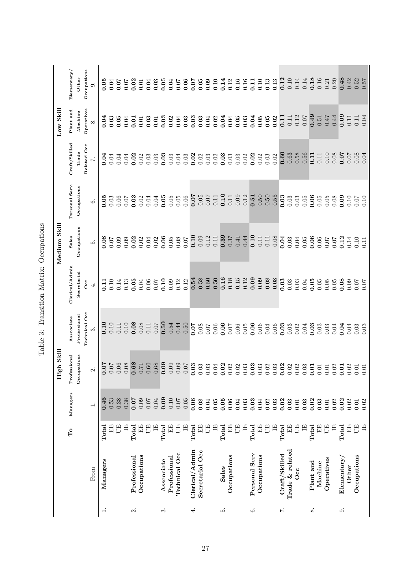<span id="page-28-0"></span>

|                |                               |             |              | Skill<br>High!                                                         |                            |                               | Medium Skill         |                               |                           | Low Skill              |                               |
|----------------|-------------------------------|-------------|--------------|------------------------------------------------------------------------|----------------------------|-------------------------------|----------------------|-------------------------------|---------------------------|------------------------|-------------------------------|
|                |                               | Рq          | Managers     | Professional<br>Occupations                                            | Professional<br>Asscociate | Clerical/Admin<br>Secretarial | Occupations<br>Sales | Personal Serv.<br>Occupations | Craft/Skilled<br>Trade    | Plant and<br>Machine   | $E$ lementary/<br>Other       |
|                | From                          |             | $\div$       | $\ddot{\Omega}$                                                        | Technical Occ              | Occ<br>$\div$                 | ນວ່                  | نت                            | Related Occ<br>$\ddot{z}$ | Operatives<br>$\infty$ | Occupations<br>$\ddot{\circ}$ |
|                |                               |             |              |                                                                        |                            |                               |                      |                               |                           |                        |                               |
| $\div$         | Managers                      | 呂<br>Total  | 0.46<br>0.53 | $\overline{c}$<br>$\sum_{i=1}^{n}$                                     | 0.10<br>0.10               | 0.10<br>$\overline{11}$       | 0.07<br>0.08         | 0.03<br>0.05                  | 0.04<br>0.04              | 0.03<br>0.04           | 0.04<br>0.05                  |
|                |                               | E           | 0.38         | $rac{9}{5}$<br>$\overline{0}$ .                                        | 0.11                       | 0.14                          | 0.09                 | 0.06                          | 0.04                      | 0.05                   | 0.07                          |
|                |                               | $\Xi$       | 0.38         | $0.08\,$                                                               | 0.10                       | 0.13                          | 0.09                 | 0.07                          | 0.04                      | 0.04                   | 0.07                          |
| $\dot{\sim}$   | Professional                  | Total       | 0.07         | $\ddot{0}$ .                                                           | 0.08                       | 0.05                          | 0.02                 | 0.03                          | 0.02                      | 0.01                   | 0.02                          |
|                | Occupations                   | E           | 0.09         | $\frac{8}{27}$<br>$\overline{0}$                                       | $0.08$                     | 0.04                          | 0.02                 | 0.02                          | 0.02                      | 0.01                   | $0.01\,$                      |
|                |                               | EU          | 70.0         | 0.60                                                                   | 0.11                       | 0.06                          | 0.04                 | 0.04                          | $0.03\,$                  | 0.03                   | 0.04                          |
|                |                               | $\Xi$       | 0.04         | $0.68\,$                                                               | 0.07                       | 0.07                          | 0.02                 | 0.04                          | $0.03\,$                  | $0.01\,$               | 0.03                          |
| ကံ             | Asscociate                    | E<br>Total  | 0.09<br>0.10 | $\overline{9}$<br>9 <sup>o</sup><br>$\sum_{i=1}^{n}$<br>$\ddot{\circ}$ | 0.54<br>0.50               | 0.10<br>0.09                  | 0.06<br>$0.05\,$     | 0.05<br>$0.05\,$              | 0.03<br>0.03              | 0.03<br>0.02           | 0.05<br>$0.04\,$              |
|                | Technical Occ<br>Professional | ΠE          | 0.07         | 0.09                                                                   | 0.44                       | 0.12                          | $0.08\,$             | $0.05\,$                      | $0.04\,$                  | 0.04                   | 0.07                          |
|                |                               | $\Xi$       | 0.05         | $0.07$                                                                 | 0.50                       | 0.12                          | 0.07                 | 0.06                          | $0.03\,$                  | 0.03                   | $0.06\,$                      |
| $\div$         | Clerical/Admin                | Total       | 0.06         | 0.03                                                                   | 0.07                       | 0.54                          | 0.10                 | 0.07                          | 0.02                      | 0.03                   | 0.07                          |
|                | Secretarial Occ               | E           | 0.08         | $\,0.03$                                                               | 0.08                       | 0.58                          | 0.09                 | $0.05\,$                      | 0.02                      | 0.03                   | $0.05$                        |
|                |                               | ΠE          | 0.04         | $0.03\,$                                                               | 0.07                       | 0.50                          | 0.12                 | 0.07                          | $\!0.03\!$                | $0.04$                 | 0.09                          |
|                |                               | E           | $0.05\,$     | $0.04\,$                                                               | $0.06$                     | $0.50\,$                      | $0.11\,$             | $0.11\,$                      | $0.02\,$                  | 0.02                   | 0.10                          |
| ນວ່            | Sales                         | Total       | 0.05         | 0.02                                                                   | 0.06                       | 0.16                          | 0.37                 | 0.10                          | 0.03                      | 0.04                   | 0.14                          |
|                | Occupations                   | EE          | 0.06         | 0.02                                                                   | 0.07                       | 0.18                          |                      | $0.11\,$                      | 0.03                      | 0.04                   | 0.12                          |
|                |                               | ΠE          | 0.04         | $0.02\,$                                                               | 0.06                       | 0.15                          | 0.41                 | 0.09                          | $\!0.03\!$                | 0.05                   | $0.16\,$                      |
|                |                               | $\Xi$       | 0.03         | $\!0.03\!$                                                             | 0.05                       | $0.12\,$                      | 0.44                 | 0.12                          | $0.02\,$                  | $\!0.03\!$             | $0.16\,$                      |
| Ġ              | Personal Serv                 | Total       | 0.03         | $0.03$<br>0.03                                                         | 0.06                       | 0.09                          | $\frac{0.10}{0.11}$  | 0.51                          | 0.02                      | 0.04                   | 0.11                          |
|                | Occupations                   | EE          | 0.04         |                                                                        | 0.06                       | 0.09                          |                      | $0.50\,$                      | 0.02                      | $0.05\,$               | $0.10\,$                      |
|                |                               | UЕ<br>$\Xi$ | 0.02<br>0.03 | $0.02\,$<br>$0.03\,$                                                   | 0.04<br>$0.06\,$           | $0.08\,$<br>0.08              | 0.08<br>0.11         | 0.50<br>0.55                  | 0.03<br>0.02              | 0.05<br>0.02           | 0.13<br>0.13                  |
| $\overline{r}$ | Craft/Skilled                 | Total       | 0.02         |                                                                        | 0.03                       | 0.03                          | 0.04                 | 0.03                          | 0.60                      | 0.11                   | 0.12                          |
|                | Trade & related               | EE          | 0.03         | $0.02$<br>$0.02$                                                       | 0.03                       | 0.03                          | 0.03                 | 0.03                          | $\,0.63\,$                | 0.11                   | $0.10\,$                      |
|                | Occ                           | ΠE          | 0.01         | $0.02\,$                                                               | 0.02                       | 0.03                          | $0.04\,$             | 0.03                          | 0.58                      | 0.12                   | 0.14                          |
|                |                               | E           | $0.03\,$     | $0.03\,$                                                               | 0.04                       | 0.04                          | 0.05                 | $0.05\,$                      | 0.56                      | 0.07                   | 0.14                          |
| $\infty$       | Plant and                     | Total       | 0.02         | 0.01                                                                   | 0.03                       | 0.05                          | 0.06                 | 0.06                          | 0.11                      | 0.49                   | 0.18                          |
|                | Machine                       | E           | 0.03         | $0.01\,$                                                               | 0.03                       | 0.05                          | 0.06                 | 0.05                          | 0.11                      | 0.51                   | 0.16                          |
|                | Operatives                    | UE          | 0.01         | $0.01\,$                                                               | 0.03                       | 0.05                          | 0.07                 | 0.05                          | 0.10                      | 0.47                   | 0.21                          |
|                |                               | E           | 0.02         | $\frac{0.02}{0.01}$                                                    | 0.04                       | 0.05                          | 0.07                 | 0.08                          | $0.08\,$                  | 0.44                   | 0.20                          |
| $\ddot{\circ}$ | Elementary                    | Total       | 0.02         |                                                                        | 0.04                       | 0.08                          | 0.12                 | 0.09                          | 0.07                      | 0.09                   | 0.48                          |
|                | Other                         | EE          | 0.02         | 0.02                                                                   | 0.04                       | 0.09                          | 0.14                 | 0.10                          | 0.07                      | 0.11                   | 0.42                          |
|                | Occupations                   | UE          | 0.01         | 0.01                                                                   | 0.03                       | 0.07                          | 0.10                 | 0.07                          | 0.08                      | 0.11                   | $0.52$<br>$0.57$              |
|                |                               | 呂           | 0.02         | 0.01                                                                   | 0.03                       | 0.07                          | $\overline{11}$      | 0.10                          | 0.04                      | 0.04                   |                               |

Table 3: Transition Matrix: Occupations Table 3: Transition Matrix: Occupations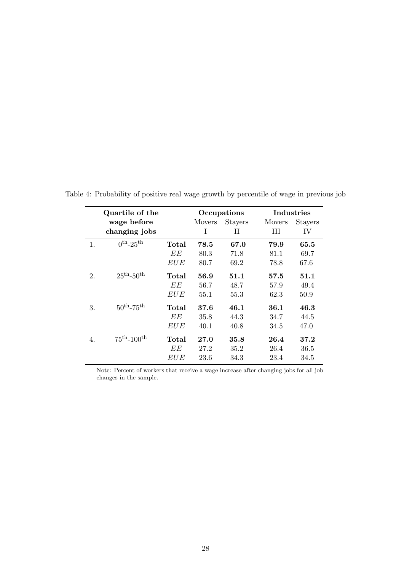|                  | Quartile of the                   |            |               | Occupations    |               | Industries     |
|------------------|-----------------------------------|------------|---------------|----------------|---------------|----------------|
|                  | wage before                       |            | <b>Movers</b> | <b>Stayers</b> | <b>Movers</b> | <b>Stayers</b> |
|                  | changing jobs                     |            | T             | Н              | H             | IV             |
| 1.               | $0^{\text{th}}$ -25 <sup>th</sup> | Total      | 78.5          | 67.0           | 79.9          | 65.5           |
|                  |                                   | ЕE         | 80.3          | 71.8           | 81.1          | 69.7           |
|                  |                                   | EUE        | 80.7          | 69.2           | 78.8          | 67.6           |
| $\overline{2}$ . | $25^{\text{th}} - 50^{\text{th}}$ | Total      | 56.9          | 51.1           | 57.5          | 51.1           |
|                  |                                   | ЕE         | 56.7          | 48.7           | 57.9          | 49.4           |
|                  |                                   | EUE        | 55.1          | 55.3           | 62.3          | 50.9           |
| 3.               | $50^{th} - 75^{th}$               | Total      | 37.6          | 46.1           | 36.1          | 46.3           |
|                  |                                   | EЕ         | 35.8          | 44.3           | 34.7          | 44.5           |
|                  |                                   | <b>EUE</b> | 40.1          | 40.8           | 34.5          | 47.0           |
| 4.               | $75^{th} - 100^{th}$              | Total      | 27.0          | 35.8           | 26.4          | 37.2           |
|                  |                                   | ЕE         | 27.2          | 35.2           | 26.4          | 36.5           |
|                  |                                   | <i>EUE</i> | 23.6          | 34.3           | 23.4          | 34.5           |

<span id="page-29-0"></span>Table 4: Probability of positive real wage growth by percentile of wage in previous job

Note: Percent of workers that receive a wage increase after changing jobs for all job changes in the sample.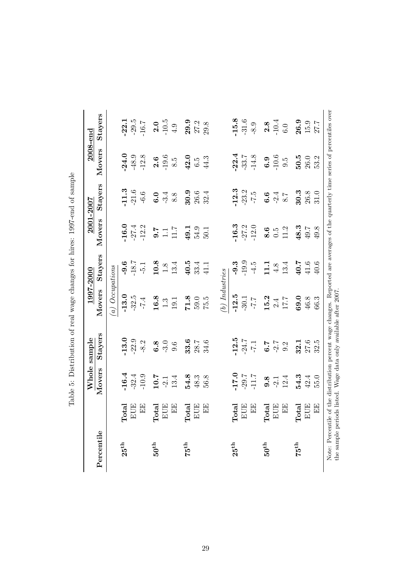|                     |                             |         | Whole sample   |                   | 1997-2000      |         | 2001-2007        |                    | $2008$ -end |
|---------------------|-----------------------------|---------|----------------|-------------------|----------------|---------|------------------|--------------------|-------------|
| Percentile          |                             | Movers  | <b>Stayers</b> | Movers            | <b>Stayers</b> | Movers  | <b>Stayers</b>   | Movers             | Stayers     |
|                     |                             |         |                | $(a)$ Occupations |                |         |                  |                    |             |
| $25^{\rm th}$       | ನ<br>$_{\rm Tot}$           | $-16.4$ | 13.0           | $-13.0$           | $-9.6$         | .16.0   | $-11.3$          | 24.0               | $-22.1$     |
|                     | EUE                         | $-32.4$ | $-22.9$        | $-32.5$           | -18.7          | $-27.4$ | $-21.6$          | -48.9              | $-29.5$     |
|                     | $E$ E                       | $-10.9$ | $-8.2$         | $-7.4$            | $-5.1$         | $-12.2$ | $-6.6$           | $-12.8$            | $-16.7$     |
| ${\bf 50}^{\rm th}$ |                             | 10.7    | 6.8            | 16.8              | 10.8           | $-1.6$  | 6.0              | 2.6                | 2.0         |
|                     | Total<br>EUE                | $-2.1$  | $-3.0$         | 1.3               | $1.8$          | 1.1     | $-3.4$           | $-19.6$            | $-10.5$     |
|                     | EE                          | 13.4    | 9.6            | 19.1              | 13.4           | 7.11    | $8.8\,$          | $\ddot{8}.\dot{8}$ | 4.9         |
| $75^{\rm th}$       | ಸ<br>Tot                    | 54.8    | 33.6           | 71.8              | 40.5           | 49.1    | 30.9             | 42.0               | 29.9        |
|                     | <b>EUE</b>                  | 48.3    | 28.7           | 59.0              | 33.4           | 54.9    | 26.6             | $\ddot{c}$         | 27.2        |
|                     | EE                          | 56.8    | 34.6           | 75.5              | 41.1           | 50.1    | 32.4             | 44.3               | 29.8        |
|                     |                             |         |                | $(b)$ Industries  |                |         |                  |                    |             |
| $25^{\rm th}$       | ್ಪ<br>$_{\rm Tot}$          | 0.21    | $-12.5$        | $-12.5$           | $-9.3$         | 16.3    | $-12.3$          | $-22.4$            | $-15.8$     |
|                     | EUE                         | $-29.7$ | $-24.7$        | $-30.1$           | $-19.9$        | $-27.2$ | $-23.2$          | $-33.7$            | $-31.6$     |
|                     | $E$ E                       | $-11.7$ | $-7.1$         | $\frac{1}{2}$ .   | $-4.5$         | $-12.0$ | $-7.5$           | $-14.8$            | $-8.9$      |
| ${\bf 50}^{\rm th}$ | ್<br>$_{\rm Tot}$           | 9.8     | 6.7            | 15.2              | 1.1            | 8.6     | 6.6              | 6.9                | 2.8         |
|                     | <b>EUE</b>                  | $-2.1$  | $-2.7$         | $2.4\,$           | $4.8$          | 6.5     | $-2.4$           | $-10.6$            | $-10.4$     |
|                     | EE                          | 12.4    | 9.2            | 17.7              | 13.4           | 11.2    | $\overline{8}$ ? | $9.\overline{5}$   | 6.0         |
| 75 <sup>th</sup>    | <u>ृत्व</u><br>$_{\rm Tot}$ | 54.3    | 32.1           | 69.0              | 40.7           | 48.3    | 30.3             | 50.5               | 26.9        |
|                     | <b>EUE</b>                  | 42.4    | 27.6           | 46.8              | $41.6$         | 49.7    | $26.8\,$         | 26.0               | 15.9        |
|                     | $\mathbf{EE}$               | 55.0    | 32.5           | 66.3              | $40.6$         | 49.8    | 31.0             | 53.2               | 27.7        |

<span id="page-30-0"></span>Table 5: Distribution of real wage changes for hires: 1997-end of sample Table 5: Distribution of real wage changes for hires: 1997-end of sample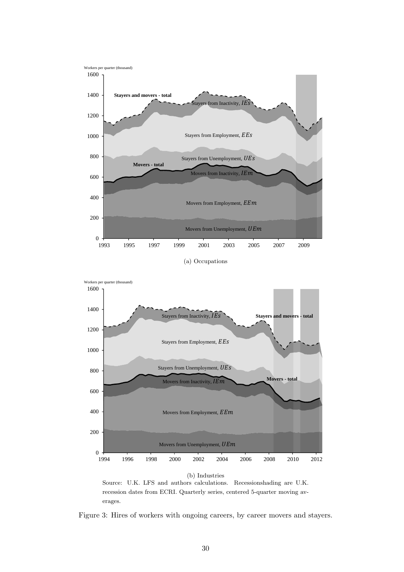<span id="page-31-0"></span>

(a) Occupations



Source: U.K. LFS and authors calculations. Recessionshading are U.K. recession dates from ECRI. Quarterly series, centered 5-quarter moving averages.

Figure 3: Hires of workers with ongoing careers, by career movers and stayers.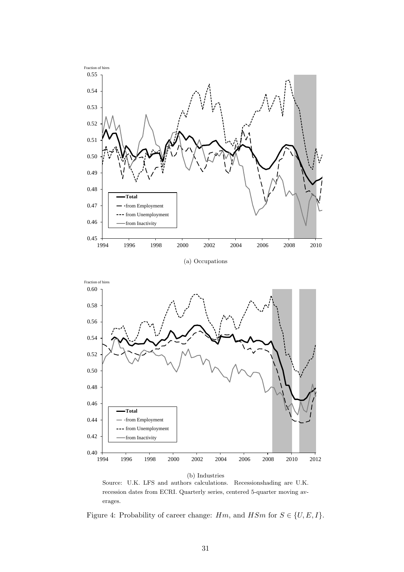<span id="page-32-0"></span>

(a) Occupations



Source: U.K. LFS and authors calculations. Recessionshading are U.K. recession dates from ECRI. Quarterly series, centered 5-quarter moving averages.

Figure 4: Probability of career change:  $Hm$ , and  $HSm$  for  $S \in \{U, E, I\}$ .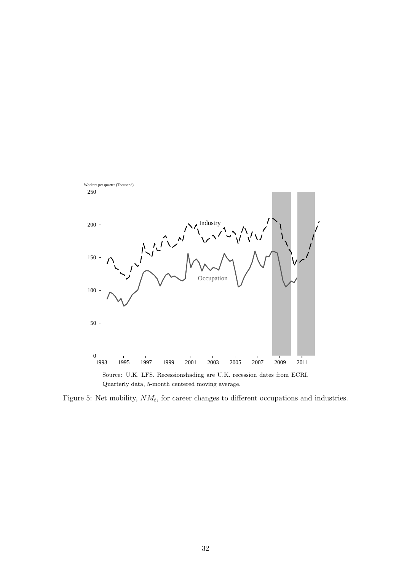<span id="page-33-0"></span>



Figure 5: Net mobility,  $NM_t$ , for career changes to different occupations and industries.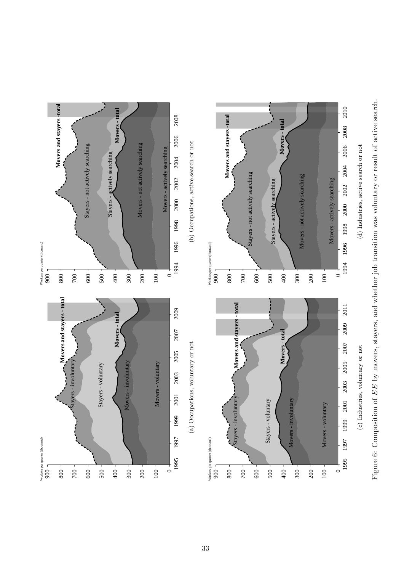<span id="page-34-0"></span>